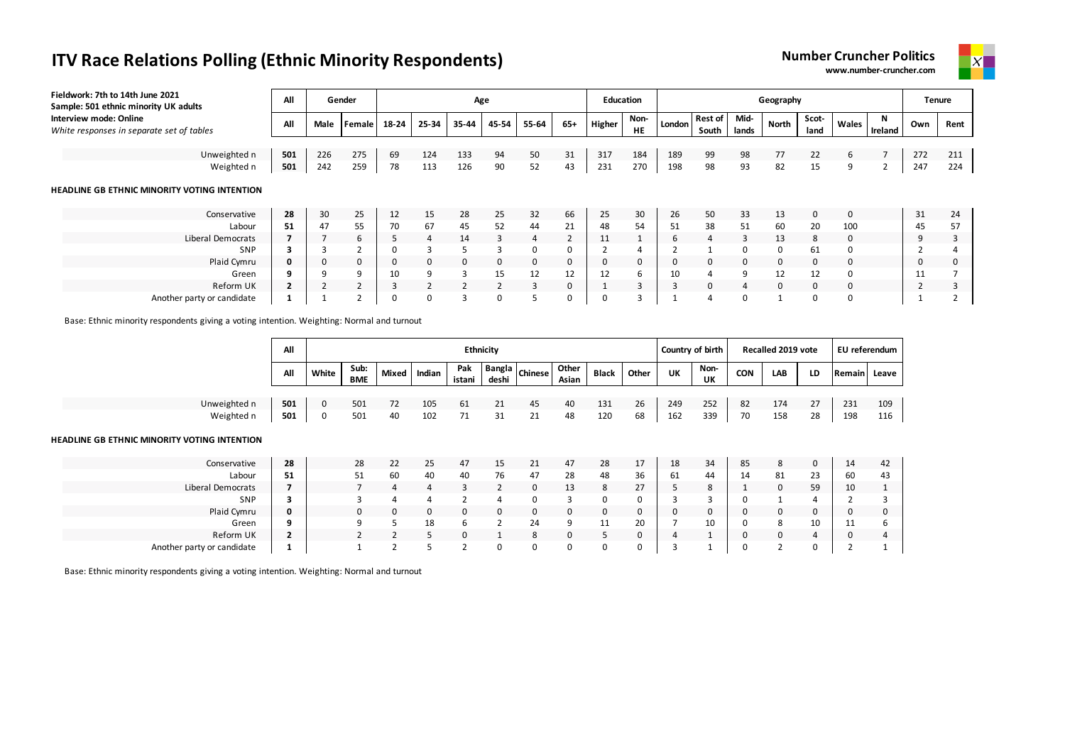| Fieldwork: 7th to 14th June 2021<br>Sample: 501 ethnic minority UK adults | All |            | Gender        |       |                |                          | Age            |                |                | <b>Education</b> |                   |        |                         |               | Geography |               |             |                | Tenure |      |
|---------------------------------------------------------------------------|-----|------------|---------------|-------|----------------|--------------------------|----------------|----------------|----------------|------------------|-------------------|--------|-------------------------|---------------|-----------|---------------|-------------|----------------|--------|------|
| Interview mode: Online<br>White responses in separate set of tables       | All | Male       | <b>Female</b> | 18-24 | 25-34          | 35-44                    | 45-54          | 55-64          | $65+$          | Higher           | Non-<br><b>HE</b> | London | <b>Rest of</b><br>South | Mid-<br>lands | North     | Scot-<br>land | Wales       | N<br>Ireland   | Own    | Rent |
|                                                                           |     |            |               |       |                |                          |                |                |                |                  |                   |        |                         |               |           |               |             |                |        |      |
| Unweighted n                                                              | 501 | 226        | 275           | 69    | 124            | 133                      | 94             | 50             | 31             | 317              | 184               | 189    | 99                      | 98            | 77        | 22            | 6           | $\overline{7}$ | 272    | 211  |
| Weighted n                                                                | 501 | 242        | 259           | 78    | 113            | 126                      | 90             | 52             | 43             | 231              | 270               | 198    | 98                      | 93            | 82        | 15            | 9           |                | 247    | 224  |
| HEADLINE GB ETHNIC MINORITY VOTING INTENTION<br>Conservative              | 28  | 30         | 25            | 12    | 15             | 28                       | 25             | 32             | 66             | 25               | 30                | 26     | 50                      | 33            | 13        | $\mathbf{0}$  | $\mathbf 0$ |                | 31     | 24   |
| Labour                                                                    | 51  | 47         | 55            | 70    | 67             | 45                       | 52             | 44             | 21             | 48               | 54                | 51     | 38                      | 51            | 60        | 20            | 100         |                | 45     | 57   |
| Liberal Democrats                                                         |     |            | 6.            | 5.    | $\overline{4}$ | 14                       | 3              | $\overline{4}$ | $\overline{2}$ | 11               |                   | 6      | $\overline{4}$          | 3             | 13        | 8             | 0           |                | q      | 3    |
| SNP                                                                       |     |            |               |       | $\mathbf{R}$   | 5                        | 3              | 0              | 0              |                  |                   |        |                         | 0             | 0         | 61            | $\Omega$    |                |        |      |
| Plaid Cymru                                                               | 0   | 0          | 0             |       | $\mathbf{0}$   | 0                        | 0              | 0              | 0              |                  | 0                 |        | 0                       | 0             | 0         | 0             | 0           |                |        | 0    |
| Green                                                                     | 9   |            | a             | 10    | 9              | 3                        | 15             | 12             | 12             | 12               | ь                 | 10     |                         | 9             | 12        | 12            | 0           |                |        |      |
| Reform UK                                                                 |     | $\epsilon$ |               |       | $\overline{2}$ | $\overline{\phantom{a}}$ | $\overline{2}$ | 3              | 0              |                  |                   |        | 0                       | 4             | 0         | $\mathbf{0}$  | 0           |                |        | 3    |
| Another party or candidate                                                |     |            |               |       | 0              | 3                        | 0              |                | 0              |                  |                   |        |                         | $\Omega$      |           | 0             | 0           |                |        |      |

Base: Ethnic minority respondents giving a voting intention. Weighting: Normal and turnout

|                                              | All            |       |             |              |     | <b>Ethnicity</b> |                |                |                |              |       | Country of birth |                   |              | Recalled 2019 vote |    | EU referendum  |       |
|----------------------------------------------|----------------|-------|-------------|--------------|-----|------------------|----------------|----------------|----------------|--------------|-------|------------------|-------------------|--------------|--------------------|----|----------------|-------|
|                                              | All            | White | Sub:<br>BME | Mixed Indian |     | Pak<br>istani    | deshi          | Bangla Chinese | Other<br>Asian | <b>Black</b> | Other | UK               | Non-<br><b>UK</b> | <b>CON</b>   | LAB                | LD | Remain         | Leave |
| Unweighted n                                 | 501            | 0     | 501         | 72           | 105 | 61               | 21             | 45             | 40             | 131          | 26    | 249              | 252               | 82           | 174                | 27 | 231            | 109   |
| Weighted n                                   | 501            | 0     | 501         | 40           | 102 | 71               | 31             | 21             | 48             | 120          | 68    | 162              | 339               | 70           | 158                | 28 | 198            | 116   |
| HEADLINE GB ETHNIC MINORITY VOTING INTENTION |                |       |             |              |     |                  |                |                |                |              |       |                  |                   |              |                    |    |                |       |
| Conservative                                 | 28             |       | 28          | 22           | 25  | 47               | 15             | 21             | 47             | 28           | 17    | 18               | 34                | 85           | 8                  | 0  | 14             | 42    |
| Labour                                       | 51             |       | 51          | 60           | 40  | 40               | 76             | 47             | 28             | 48           | 36    | 61               | 44                | 14           | 81                 | 23 | 60             | 43    |
| Liberal Democrats                            | 7              |       |             | 4            | 4   | 3                | $\overline{2}$ | 0              | 13             | 8            | 27    | 5                | 8                 |              | $\mathbf{0}$       | 59 | 10             |       |
| SNP                                          | 3              |       |             | 4            | 4   | $\overline{2}$   | 4              | 0              | 3              | 0            | 0     |                  | 3                 | $\Omega$     |                    |    |                |       |
| Plaid Cymru                                  | 0              |       | 0           | 0            | 0   | 0                | $\mathbf{0}$   | 0              | 0              | 0            | 0     | 0                | 0                 | 0            | 0                  | 0  | 0              | 0     |
| Green                                        | 9              |       | 9           | 5            | 18  | 6                | $\overline{2}$ | 24             | 9              | 11           | 20    |                  | 10                | 0            | 8                  | 10 | 11             | b     |
| Reform UK                                    | $\overline{2}$ |       |             | 2            | 5   | $\mathbf 0$      |                | 8              | 0              | 5            | 0     | 4                |                   | $\mathbf{0}$ | 0                  | 4  | 0              | 4     |
| Another party or candidate                   |                |       |             | 2            | 5   | $\overline{2}$   | 0              | 0              | 0              | 0            | 0     | 3                |                   | 0            | 2                  | 0  | $\overline{2}$ |       |

Base: Ethnic minority respondents giving a voting intention. Weighting: Normal and turnout



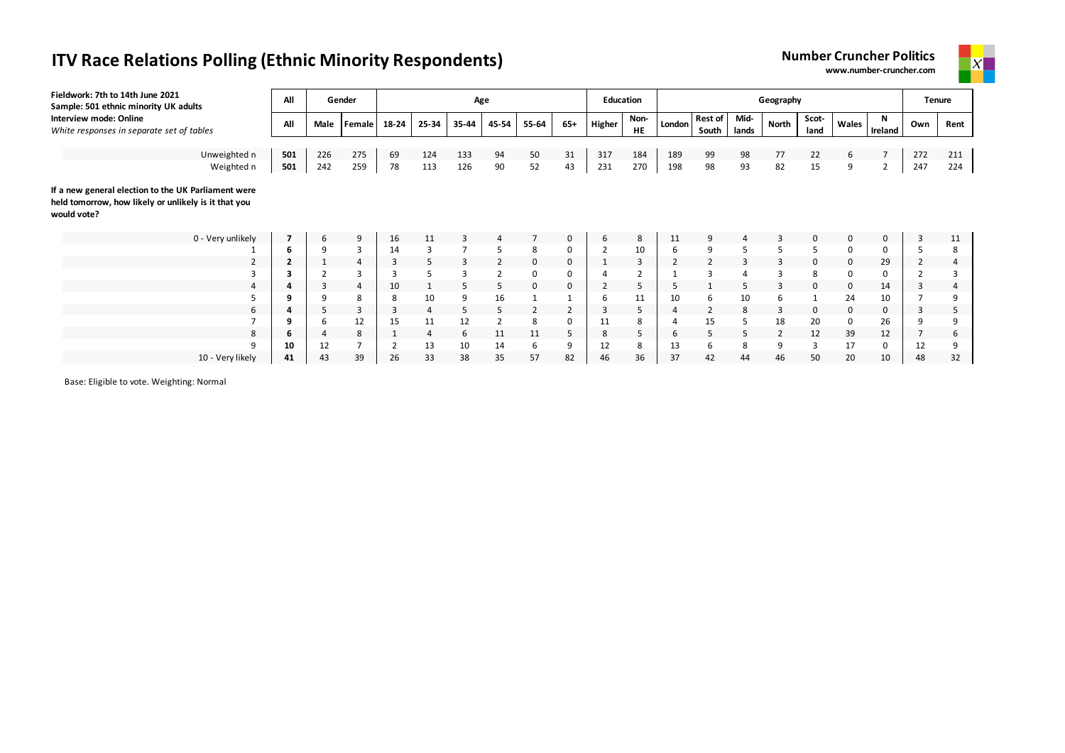| Fieldwork: 7th to 14th June 2021<br>Sample: 501 ethnic minority UK adults                                                  | All                     |                | Gender         |       |       |       | Age   |                |       | <b>Education</b> |                   |        |                         |               | Geography      |               |       |                |     | <b>Tenure</b> |
|----------------------------------------------------------------------------------------------------------------------------|-------------------------|----------------|----------------|-------|-------|-------|-------|----------------|-------|------------------|-------------------|--------|-------------------------|---------------|----------------|---------------|-------|----------------|-----|---------------|
| <b>Interview mode: Online</b><br>White responses in separate set of tables                                                 | All                     | Male           | Female         | 18-24 | 25-34 | 35-44 | 45-54 | 55-64          | $65+$ | Higher           | Non-<br><b>HE</b> | London | <b>Rest of</b><br>South | Mid-<br>lands | North          | Scot-<br>land | Wales | N<br>Ireland   | Own | Rent          |
|                                                                                                                            |                         |                |                |       |       |       |       |                |       |                  |                   |        |                         |               |                |               |       |                |     |               |
| Unweighted n                                                                                                               | 501                     | 226            | 275            | 69    | 124   | 133   | 94    | 50             | 31    | 317              | 184               | 189    | 99                      | 98            | 77             | 22            | 6     | $\overline{7}$ | 272 | 211           |
| Weighted n                                                                                                                 | 501                     | 242            | 259            | 78    | 113   | 126   | 90    | 52             | 43    | 231              | 270               | 198    | 98                      | 93            | 82             | 15            | 9     | 2              | 247 | 224           |
| If a new general election to the UK Parliament were<br>held tomorrow, how likely or unlikely is it that you<br>would vote? |                         |                |                |       |       |       |       |                |       |                  |                   |        |                         |               |                |               |       |                |     |               |
| 0 - Very unlikely                                                                                                          |                         | 6              | 9              | 16    | 11    |       |       |                | 0     | 6                | 8                 | 11     | 9                       |               | 3              | $\mathbf 0$   | 0     | 0              | 3   | 11            |
|                                                                                                                            | 6                       | 9              | 3              | 14    | 3     |       | 5     | 8              | 0     | $\overline{2}$   | 10                | 6      | 9                       | 5             | 5              | 5             | 0     | 0              |     | 8             |
| $\overline{2}$                                                                                                             | $\overline{\mathbf{2}}$ | <b>T</b>       | 4              | 3     | 5     | 3     | 2     | 0              | 0     | ᆚ                | 3                 | 2      | 2                       | 3             | 3              | 0             | 0     | 29             |     | 4             |
|                                                                                                                            | з                       |                |                |       | 5     |       |       | 0              | 0     |                  | 2                 |        | 3                       |               | 3              | 8             | 0     | 0              |     | 3             |
| $\Delta$                                                                                                                   | 4                       | 3              | $\overline{4}$ | 10    |       | 5     | 5     | $\mathbf 0$    | 0     | $\overline{2}$   | 5                 |        |                         |               | 3              | 0             | 0     | 14             |     | 4             |
| 5                                                                                                                          | 9                       | 9              | 8              | 8     | 10    | 9     | 16    |                |       | 6                | 11                | 10     | 6                       | 10            | 6              |               | 24    | 10             |     | 9             |
| 6                                                                                                                          | 4                       | 5              | 3              | 3     | 4     | 5.    | 5.    | $\overline{2}$ |       | 3                | 5                 | 4      | $\overline{2}$          | 8             | 3              | 0             | 0     | 0              |     | 5             |
|                                                                                                                            | 9                       | 6              | 12             | 15    | 11    | 12    |       | 8              | 0     | 11               | 8                 |        | 15                      |               | 18             | 20            | 0     | 26             |     | 9             |
| 8                                                                                                                          | 6                       | $\overline{4}$ | 8              |       | 4     | 6     | 11    | 11             | 5     | 8                | 5                 | 6      | 5                       | 5             | $\overline{2}$ | 12            | 39    | 12             |     | 6             |
| 9                                                                                                                          | 10                      | 12             |                |       | 13    | 10    | 14    | 6              | 9     | 12               | 8                 | 13     | ь                       | 8             | 9              | 3             | 17    | 0              |     | 9             |

10 - Very likely **41** 43 39 26 33 38 35 57 82 46 36 37 42 44 46 50 20 10 48 32

Base: Eligible to vote. Weighting: Normal



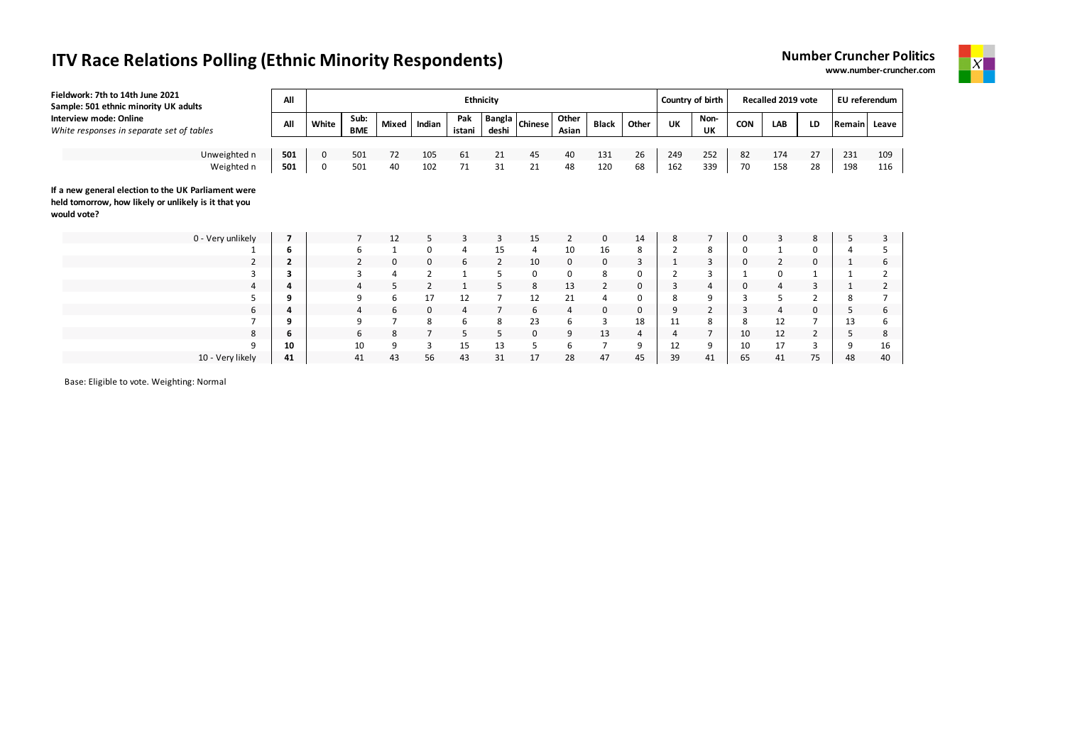| Fieldwork: 7th to 14th June 2021<br>Sample: 501 ethnic minority UK adults | All        |        |                    |          |            |                | Ethnicity       |                |                |                |          |                | Country of birth |            | Recalled 2019 vote |          | EU referendum |            |
|---------------------------------------------------------------------------|------------|--------|--------------------|----------|------------|----------------|-----------------|----------------|----------------|----------------|----------|----------------|------------------|------------|--------------------|----------|---------------|------------|
| Interview mode: Online<br>White responses in separate set of tables       | All        | White  | Sub:<br><b>BME</b> | Mixed    | Indian     | Pak<br>istani  | Bangla<br>deshi | <b>Chinese</b> | Other<br>Asian | <b>Black</b>   | Other    | UK             | Non-<br>UK       | <b>CON</b> | LAB                | LD       | Remain        | Leave      |
|                                                                           |            |        |                    |          |            |                |                 |                |                |                |          |                |                  |            |                    |          |               |            |
| Unweighted n<br>Weighted n                                                | 501<br>501 | 0<br>0 | 501<br>501         | 72<br>40 | 105<br>102 | 61<br>71       | 21<br>31        | 45<br>21       | 40<br>48       | 131<br>120     | 26<br>68 | 249<br>162     | 252<br>339       | 82<br>70   | 174<br>158         | 27<br>28 | 231<br>198    | 109<br>116 |
|                                                                           |            |        |                    |          |            |                |                 |                |                |                |          |                |                  |            |                    |          |               |            |
| If a new general election to the UK Parliament were                       |            |        |                    |          |            |                |                 |                |                |                |          |                |                  |            |                    |          |               |            |
| held tomorrow, how likely or unlikely is it that you<br>would vote?       |            |        |                    |          |            |                |                 |                |                |                |          |                |                  |            |                    |          |               |            |
| 0 - Very unlikely                                                         |            |        | 7                  | 12       | 5          | 3              | 3               | 15             | 2              | 0              | 14       | 8              | 7                | 0          | 3                  | 8        | 5             |            |
|                                                                           | 6          |        | 6                  |          | 0          | 4              | 15              | 4              | 10             | 16             | 8        | $\overline{2}$ | 8                | 0          |                    | 0        |               |            |
| $\overline{2}$                                                            | 2          |        |                    | 0        | 0          | 6              | 2               | 10             | 0              | $\mathbf 0$    | 3        | 1              | 3                | 0          | $\overline{2}$     | 0        |               | 6          |
| 3                                                                         |            |        | 3                  | 4        |            |                | 5               | 0              | 0              | 8              | 0        | $\overline{2}$ | 3                |            | 0                  |          |               |            |
| 4                                                                         |            |        | 4                  | 5        |            |                | 5               | 8              | 13             | $\overline{2}$ | 0        | 3              | 4                | 0          | 4                  | 3        |               |            |
|                                                                           |            |        | 9                  | 6        | 17         | 12             | 7               | 12             | 21             | 4              | 0        | 8              | 9                | 3          | 5                  |          | 8             |            |
| 6                                                                         |            |        | 4                  | 6        | 0          | $\overline{4}$ |                 | 6              | 4              | 0              | 0        | 9              | $\overline{2}$   | 3          | 4                  | 0        | 5             | 6          |
|                                                                           | q          |        | 9                  |          | 8          | 6              | 8               | 23             | 6              | 3              | 18       | 11             | 8                | 8          | 12                 |          | 13            |            |
| 8                                                                         | ь          |        | 6                  | 8        |            | 5              | 5               | $\mathbf 0$    | 9              | 13             | 4        | $\overline{4}$ | $\overline{7}$   | 10         | 12                 | 2        | 5             | 8          |
| 9                                                                         | 10         |        | 10                 | 9        | 3          | 15             | 13              | 5              | 6              | 7              | 9        | 12             | 9                | 10         | 17                 | 3        | 9             | 16         |
| 10 - Very likely                                                          | 41         |        | 41                 | 43       | 56         | 43             | 31              | 17             | 28             | 47             | 45       | 39             | 41               | 65         | 41                 | 75       | 48            | 40         |

Base: Eligible to vote. Weighting: Normal

**Number Cruncher Politics www.number-cruncher.com**

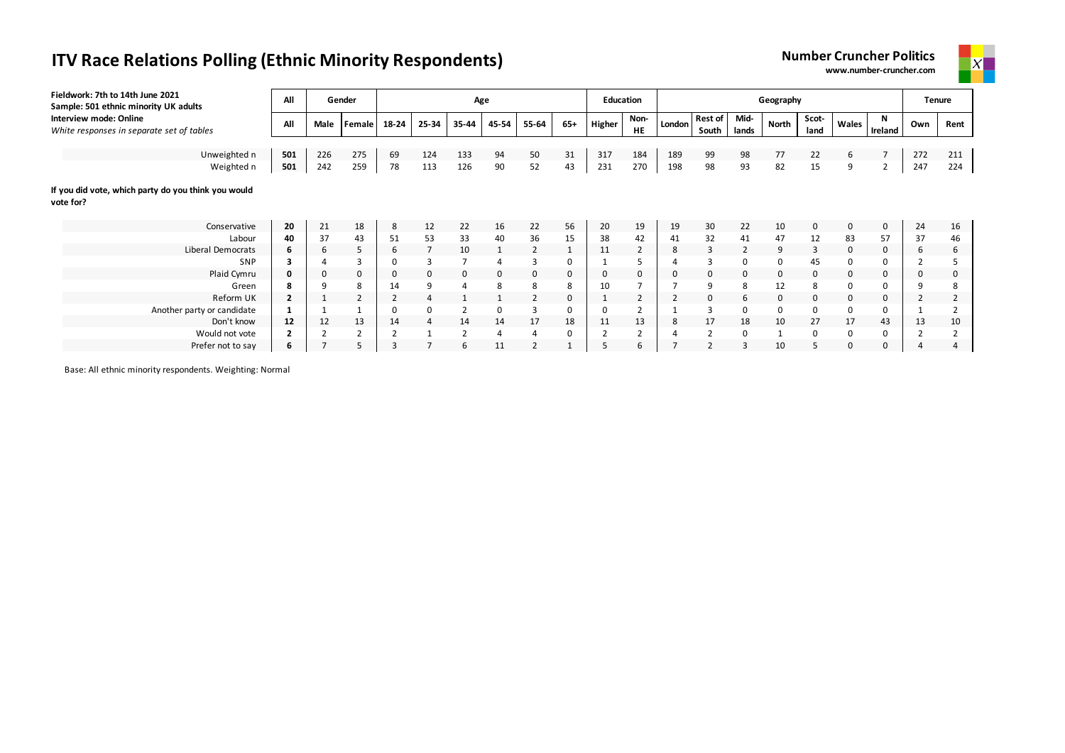| Fieldwork: 7th to 14th June 2021<br>Sample: 501 ethnic minority UK adults | All            |      | Gender         |       |          |                | Age            |                |              | <b>Education</b> |                        |        |                         |                | Geography    |               |       |              |          | <b>Tenure</b>  |
|---------------------------------------------------------------------------|----------------|------|----------------|-------|----------|----------------|----------------|----------------|--------------|------------------|------------------------|--------|-------------------------|----------------|--------------|---------------|-------|--------------|----------|----------------|
| Interview mode: Online<br>White responses in separate set of tables       | All            | Male | Female         | 18-24 | 25-34    | 35-44          | 45-54          | 55-64          | $65+$        | Higher           | Non-<br>HE             | London | <b>Rest of</b><br>South | Mid-<br>lands  | North        | Scot-<br>land | Wales | N<br>Ireland | Own      | Rent           |
|                                                                           |                |      |                |       |          |                |                |                |              |                  |                        |        |                         |                |              |               |       |              |          |                |
| Unweighted n                                                              | 501            | 226  | 275            | 69    | 124      | 133            | 94             | 50             | 31           | 317              | 184                    | 189    | 99                      | 98             | 77           | 22            | 6     |              | 272      | 211            |
| Weighted n                                                                | 501            | 242  | 259            | 78    | 113      | 126            | 90             | 52             | 43           | 231              | 270                    | 198    | 98                      | 93             | 82           | 15            | 9     | 2            | 247      | 224            |
| If you did vote, which party do you think you would<br>vote for?          |                |      |                |       |          |                |                |                |              |                  |                        |        |                         |                |              |               |       |              |          |                |
| Conservative                                                              | 20             | 21   | 18             | 8     | 12       | 22             | 16             | 22             | 56           | 20               | 19                     | 19     | 30                      | 22             | 10           | 0             | 0     | $\mathbf 0$  | 24       | 16             |
| Labour                                                                    | 40             | 37   | 43             | 51    | 53       | 33             | 40             | 36             | 15           | 38               | 42                     | 41     | 32                      | 41             | 47           | 12            | 83    | 57           | 37       | 46             |
| Liberal Democrats                                                         | 6              | 6    | 5              | 6     |          | 10             | $\mathbf{1}$   | 2              | $\mathbf{1}$ | 11               | $\overline{2}$         | 8      | 3                       | $\overline{2}$ | 9            | 3             | 0     | 0            | 6        | 6              |
| SNP                                                                       | з              |      |                | 0     |          |                | $\overline{4}$ |                | 0            |                  |                        |        | 3                       | 0              | 0            | 45            |       | 0            |          |                |
| Plaid Cymru                                                               | 0              | 0    | 0              | 0     | $\Omega$ | 0              | 0              | 0              | 0            | $\Omega$         | 0                      | 0      | $\mathbf 0$             | 0              | 0            | 0             | 0     | 0            | $\Omega$ | 0              |
| Green                                                                     | 8              | 9    | 8              | 14    | 9        | $\overline{4}$ | 8              | 8              | 8            | 10               |                        |        | 9                       | 8              | 12           | 8             |       | 0            | q        | 8              |
| Reform UK                                                                 | $\overline{2}$ | 1    | $\overline{2}$ |       |          |                |                |                | 0            |                  | 2                      |        | 0                       | 6              | 0            | 0             | 0     | 0            |          | $\overline{2}$ |
| Another party or candidate                                                |                |      |                | 0     |          | $\overline{2}$ | 0              | 3              | 0            | $\Omega$         |                        |        | 3                       | 0              | 0            | 0             | 0     | 0            |          |                |
| Don't know                                                                | 12             | 12   | 13             | 14    | 4        | 14             | 14             | 17             | 18           | 11               | 13                     | 8      | 17                      | 18             | 10           | 27            | 17    | 43           | 13       | 10             |
| Would not vote                                                            | $\overline{2}$ | 2    | 2              |       |          | $\overline{2}$ | 4              | $\overline{a}$ | 0            |                  | $\mathbf{\hat{}}$<br>∠ |        | $\overline{2}$          | 0              | $\mathbf{1}$ | 0             | 0     | 0            |          | 2              |
| Prefer not to say                                                         | 6              |      |                | 3     |          | 6              | 11             |                |              |                  | 6                      |        |                         | 3              | 10           |               |       | $\Omega$     |          |                |



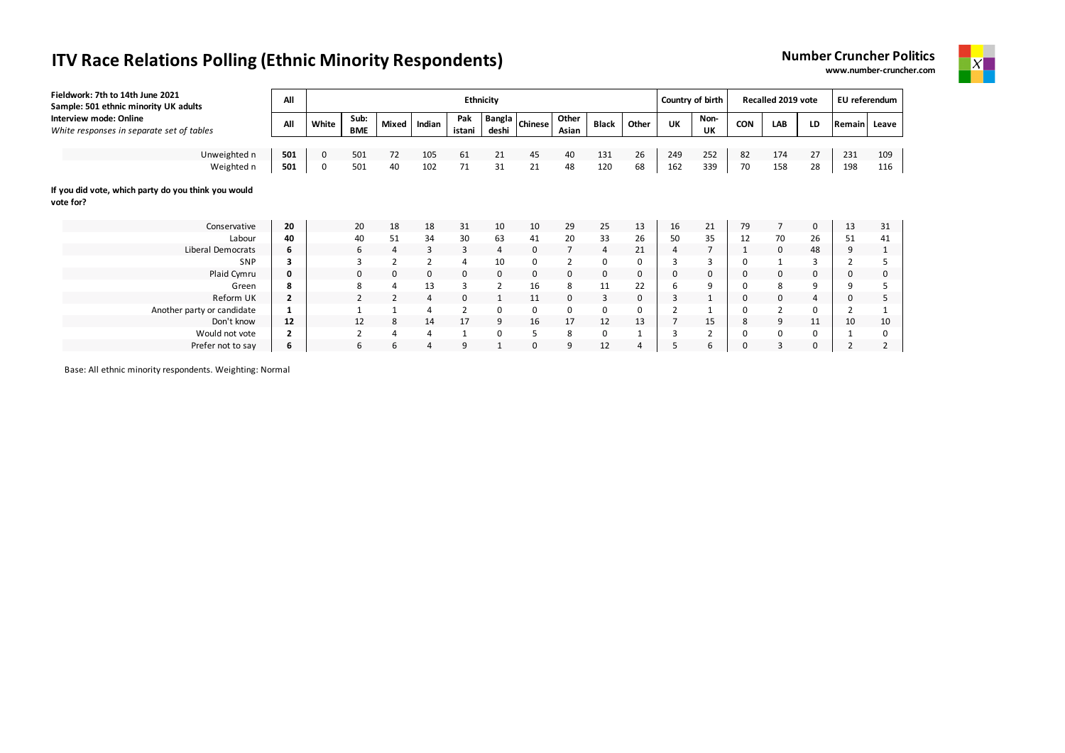| Fieldwork: 7th to 14th June 2021<br>Sample: 501 ethnic minority UK adults | All            |       |                    |                |                |                | Ethnicity       |                |                |              |                |     | Country of birth |     | Recalled 2019 vote |    | EU referendum  |       |
|---------------------------------------------------------------------------|----------------|-------|--------------------|----------------|----------------|----------------|-----------------|----------------|----------------|--------------|----------------|-----|------------------|-----|--------------------|----|----------------|-------|
| Interview mode: Online<br>White responses in separate set of tables       | All            | White | Sub:<br><b>BME</b> | <b>Mixed</b>   | Indian         | Pak<br>istani  | Bangla<br>deshi | <b>Chinese</b> | Other<br>Asian | <b>Black</b> | Other          | UK  | Non-<br>UK       | CON | LAB                | LD | <b>Remain</b>  | Leave |
|                                                                           |                |       |                    |                |                |                |                 |                |                |              |                |     |                  |     |                    |    |                |       |
| Unweighted n                                                              | 501            | 0     | 501                | 72             | 105            | 61             | 21              | 45             | 40             | 131          | 26             | 249 | 252              | 82  | 174                | 27 | 231            | 109   |
| Weighted n                                                                | 501            | 0     | 501                | 40             | 102            | 71             | 31              | 21             | 48             | 120          | 68             | 162 | 339              | 70  | 158                | 28 | 198            | 116   |
| If you did vote, which party do you think you would<br>vote for?          |                |       |                    |                |                |                |                 |                |                |              |                |     |                  |     |                    |    |                |       |
| Conservative                                                              | 20             |       | 20                 | 18             | 18             | 31             | 10              | 10             | 29             | 25           | 13             | 16  | 21               | 79  |                    | 0  | 13             | 31    |
| Labour                                                                    | 40             |       | 40                 | 51             | 34             | 30             | 63              | 41             | 20             | 33           | 26             | 50  | 35               | 12  | 70                 | 26 | 51             | 41    |
| Liberal Democrats                                                         | 6              |       | 6                  | $\overline{4}$ | 3              | 3              | 4               | 0              | 7              | 4            | 21             | 4   |                  |     | 0                  | 48 | 9              |       |
| SNP                                                                       | 3              |       |                    | $\overline{2}$ |                | $\overline{4}$ | 10              | 0              | $\overline{2}$ | 0            | 0              | 3   | 3                |     |                    |    |                |       |
| Plaid Cymru                                                               | 0              |       | $\Omega$           | 0              | 0              | 0              | 0               | 0              | 0              | 0            | $\mathbf 0$    | 0   | 0                |     | 0                  | 0  | 0              |       |
| Green                                                                     | 8              |       | 8                  | 4              | 13             | 3              | $\overline{2}$  | 16             | 8              | 11           | 22             | 6   | 9                |     | 8                  | 9  | 9              |       |
| Reform UK                                                                 | $\overline{2}$ |       |                    | $\overline{2}$ | 4              | 0              |                 | 11             | 0              | 3            | $\mathbf 0$    | 3   | $\mathbf{1}$     |     | 0                  | 4  | 0              |       |
| Another party or candidate                                                |                |       |                    | $\mathbf{1}$   | $\overline{4}$ | $\overline{2}$ | 0               | 0              | 0              | 0            | 0              | 2   |                  |     | 2                  |    | $\overline{2}$ |       |
| Don't know                                                                | 12             |       | 12                 | 8              | 14             | 17             | 9               | 16             | 17             | 12           | 13             |     | 15               | 8   | 9                  | 11 | 10             | 10    |
| Would not vote                                                            | 2              |       |                    | 4              | 4              | 1              | 0               | 5              | 8              | 0            |                | 3   |                  |     | 0                  | 0  |                | 0     |
| Prefer not to say                                                         | 6              |       | 6                  | 6              | $\overline{4}$ | 9              |                 | 0              | 9              | 12           | $\overline{4}$ |     | 6                |     | 3                  | 0  | $\overline{2}$ |       |



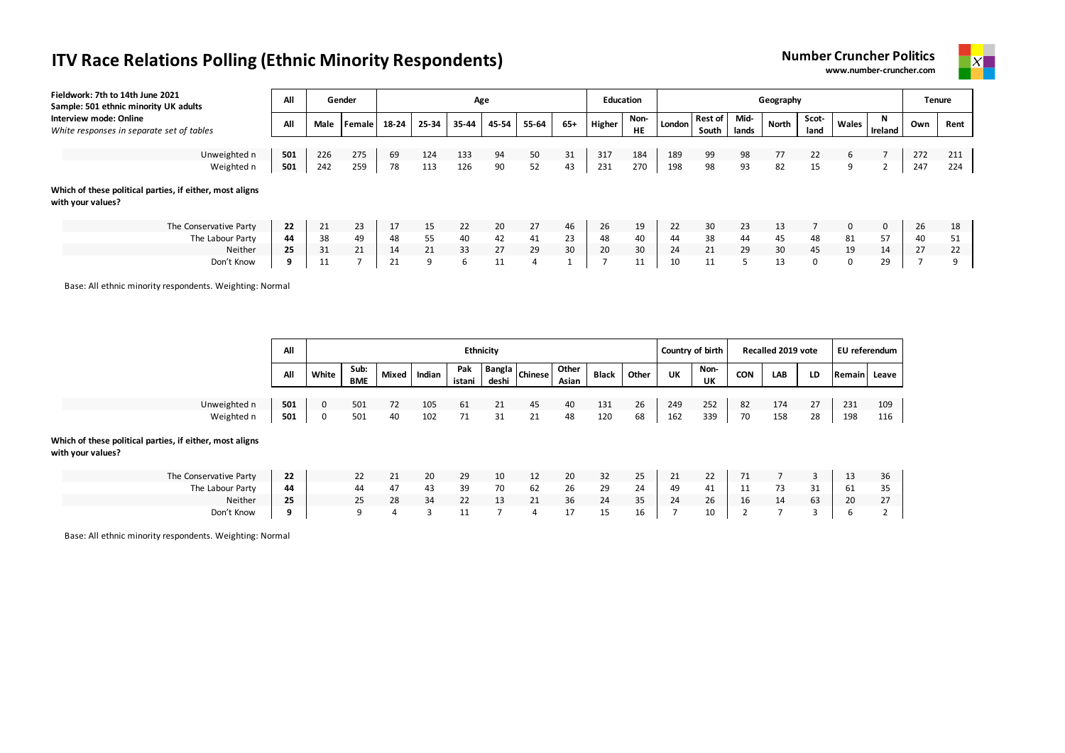



| Fieldwork: 7th to 14th June 2021<br>Sample: 501 ethnic minority UK adults     | All |      | Gender | Age<br>Education |       |       |       |       |     |        |                   |        |                       |       | Geography       |               |          |              | <b>Tenure</b> |      |
|-------------------------------------------------------------------------------|-----|------|--------|------------------|-------|-------|-------|-------|-----|--------|-------------------|--------|-----------------------|-------|-----------------|---------------|----------|--------------|---------------|------|
| Interview mode: Online<br>White responses in separate set of tables           | All | Male | Female | 18-24            | 25-34 | 35-44 | 45-54 | 55-64 | 65+ | Higher | Non-<br><b>HE</b> | London | Rest of Mid-<br>South | lands | North           | Scot-<br>land | Wales    | N<br>Ireland | Own           | Rent |
|                                                                               |     |      |        |                  |       |       |       |       |     |        |                   |        |                       |       |                 |               |          |              |               |      |
| Unweighted n                                                                  | 501 | 226  | 275    | 69               | 124   | 133   | 94    | 50    | 31  | 317    | 184               | 189    | 99                    | 98    | 77              | 22            | 6        |              | 272           | 211  |
| Weighted n                                                                    | 501 | 242  | 259    | 78               | 113   | 126   | 90    | 52    | 43  | 231    | 270               | 198    | 98                    | 93    | 82              | 15            | 9        |              | 247           | 224  |
| Which of these political parties, if either, most aligns<br>with your values? |     |      |        |                  |       |       |       |       |     |        |                   |        |                       |       |                 |               |          |              |               |      |
| The Conservative Party                                                        | 22  | 21   | 23     | 17               | 15    | 22    | 20    | 27    | 46  | 26     | 19                | 22     | 30                    | 23    | 13              |               | $\Omega$ |              | 26            | 18   |
| The Labour Party                                                              | 44  | 38   | 49     | 48               | 55    | 40    | 42    | 41    | 23  | 48     | 40                | 44     | 38                    | 44    | 45              | 48            | 81       | 57           | 40            | 51   |
| Neither                                                                       | 25  | 31   | 21     | 14               | 21    | 33    | 27    | 29    | 30  | 20     | 30                | 24     | 21                    | 29    | 30 <sup>°</sup> | 45            | 19       | 14           | 27            | 22   |
| Don't Know                                                                    | q   | 11   |        | 21               | 9     | 6     | 11    | 4     |     |        | 11                | 10     | 11                    |       | 13              |               | 0        | 29           |               |      |

Base: All ethnic minority respondents. Weighting: Normal

|                                                                               | All |              |                    |    |              |               | <b>Ethnicity</b> |                  |                |              |       | Country of birth |                   |            | Recalled 2019 vote |    | EU referendum |       |
|-------------------------------------------------------------------------------|-----|--------------|--------------------|----|--------------|---------------|------------------|------------------|----------------|--------------|-------|------------------|-------------------|------------|--------------------|----|---------------|-------|
|                                                                               | All | White        | Sub:<br><b>BME</b> |    | Mixed Indian | Pak<br>istani | deshi            | Bangla Chinese I | Other<br>Asian | <b>Black</b> | Other | UK               | Non-<br><b>UK</b> | <b>CON</b> | LAB                | LD | Remain        | Leave |
|                                                                               |     |              |                    |    |              |               |                  |                  |                |              |       |                  |                   |            |                    |    |               |       |
| Unweighted n                                                                  | 501 | $\mathbf{0}$ | 501                | 72 | 105          | 61            | 21               | 45               | 40             | 131          | 26    | 249              | 252               | 82         | 174                | 27 | 231           | 109   |
| Weighted n                                                                    | 501 | $\Omega$     | 501                | 40 | 102          | 71            | 31               | 21               | 48             | 120          | 68    | 162              | 339               | 70         | 158                | 28 | 198           | 116   |
| Which of these political parties, if either, most aligns<br>with your values? |     |              |                    |    |              |               |                  |                  |                |              |       |                  |                   |            |                    |    |               |       |
| The Conservative Party                                                        | 22  |              | 22                 | 21 | 20           | 29            | 10               | 12               | 20             | 32           | 25    | 21               | 22                | 71         |                    | 3  | 13            | 36    |
| The Labour Party                                                              | 44  |              | 44                 | 47 | 43           | 39            | 70               | 62               | 26             | 29           | 24    | 49               | 41                | 11         | 73                 | 31 | 61            | 35    |
| Neither                                                                       | 25  |              | 25                 | 28 | 34           | 22            | 13               | 21               | 36             | 24           | 35    | 24               | 26                | 16         | 14                 | 63 | 20            | 27    |
| Don't Know                                                                    | 9   |              | q                  | 4  | 3            | 11            | ∍                | 4                | 17             | 15           | 16    | ÷.               | 10                |            | 7                  | 3  | ь             |       |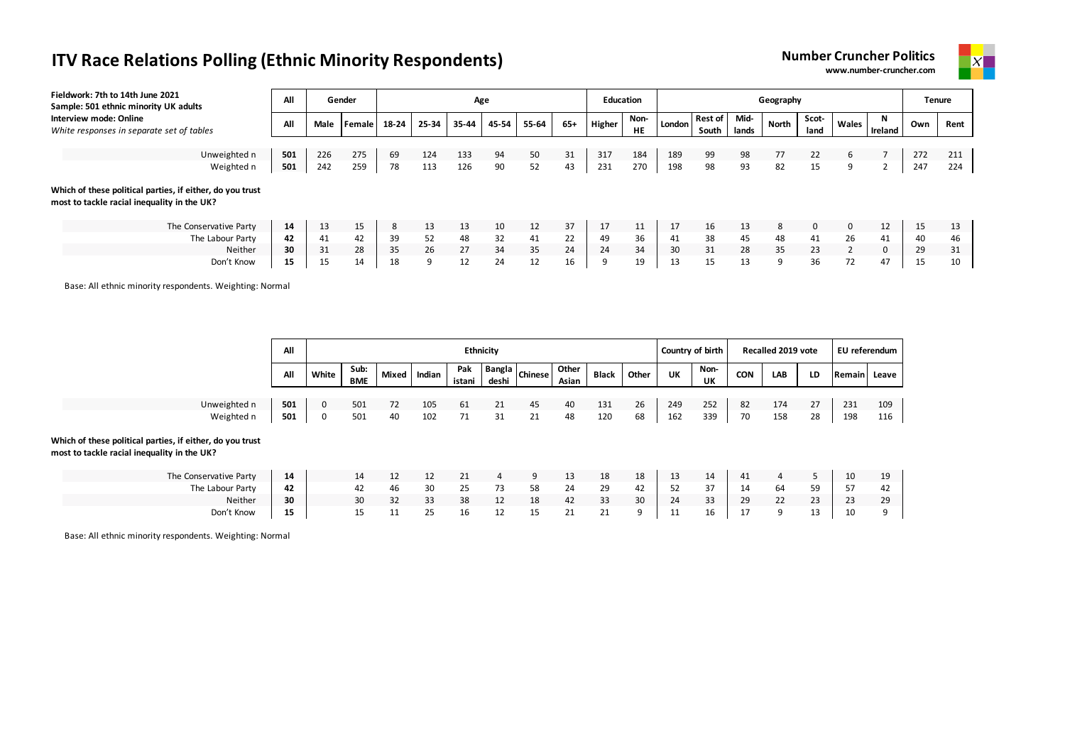



| Fieldwork: 7th to 14th June 2021<br>Sample: 501 ethnic minority UK adults                                                                                                                                                                    | All |      | Gender |       |       | Age   |       |       |     | <b>Education</b> |                   |        |                  |               | Geography |               |                |          | Tenure |      |
|----------------------------------------------------------------------------------------------------------------------------------------------------------------------------------------------------------------------------------------------|-----|------|--------|-------|-------|-------|-------|-------|-----|------------------|-------------------|--------|------------------|---------------|-----------|---------------|----------------|----------|--------|------|
| Interview mode: Online<br>White responses in separate set of tables                                                                                                                                                                          | All | Male | Female | 18-24 | 25-34 | 35-44 | 45-54 | 55-64 | 65+ | Higher           | Non-<br><b>HE</b> | London | Rest of<br>South | Mid-<br>lands | North     | Scot-<br>land | Wales          | Ireland  | Own    | Rent |
|                                                                                                                                                                                                                                              |     |      |        |       |       |       |       |       |     |                  |                   |        |                  |               |           |               |                |          |        | 211  |
| Weighted n                                                                                                                                                                                                                                   | 501 | 242  | 259    | 78    | 113   | 126   | 90    | 52    | 43  | 231              | 270               | 198    | 98               | 93            | 82        | 15            | 9              |          | 247    | 224  |
| 226<br>184<br>Unweighted n<br>501<br>275<br>124<br>31<br>317<br>189<br>99<br>98<br>77<br>272<br>69<br>133<br>94<br>50<br>22<br>6<br>Which of these political parties, if either, do you trust<br>most to tackle racial inequality in the UK? |     |      |        |       |       |       |       |       |     |                  |                   |        |                  |               |           |               |                |          |        |      |
| The Conservative Party                                                                                                                                                                                                                       | 14  | 13   | 15     | 8     | 13    | 13    | 10    | 12    | 37  | 17               | 11                | 17     | 16               | 13            | 8         | $\Omega$      | $\mathbf 0$    | 12       | 15     | 13   |
| The Labour Party                                                                                                                                                                                                                             | 42  | 41   | 42     | 39    | 52    | 48    | 32    | 41    | 22  | 49               | 36                | 41     | 38               | 45            | 48        | 41            | 26             | 41       | 40     | 46   |
| Neither                                                                                                                                                                                                                                      | 30  | 31   | 28     | 35    | 26    | 27    | 34    | 35    | 24  | 24               | 34                | 30     | 31               | 28            | 35        | 23            | $\overline{2}$ | $\Omega$ | 29     | 31   |
| Don't Know                                                                                                                                                                                                                                   | 15  | 15   | 14     | 18    | 9     | 12    | 24    | 12    | 16  | 9                | 19                | 13     | 15               | 13            | 9         | 36            | 72             | 47       | 15     | 10   |

Base: All ethnic minority respondents. Weighting: Normal

|                                                                                                          | All |              |             |       |        |               | <b>Ethnicity</b> |                      |                |              |       |     | Country of birth |            | Recalled 2019 vote |    | EU referendum |       |
|----------------------------------------------------------------------------------------------------------|-----|--------------|-------------|-------|--------|---------------|------------------|----------------------|----------------|--------------|-------|-----|------------------|------------|--------------------|----|---------------|-------|
|                                                                                                          | All | White        | Sub:<br>BME | Mixed | Indian | Pak<br>istani | deshi            | -   Bangla   Chinese | Other<br>Asian | <b>Black</b> | Other | UK  | Non-<br>UK       | <b>CON</b> | LAB                | LD | Remain        | Leave |
| Unweighted n                                                                                             | 501 | $\mathbf{0}$ | 501         | 72    | 105    | 61            | 21               | 45                   | 40             | 131          | 26    | 249 | 252              | 82         | 174                | 27 | 231           | 109   |
| Weighted n                                                                                               | 501 | $\mathbf{0}$ | 501         | 40    | 102    | 71            | 31               | 21                   | 48             | 120          | 68    | 162 | 339              | 70         | 158                | 28 | 198           | 116   |
| Which of these political parties, if either, do you trust<br>most to tackle racial inequality in the UK? |     |              |             |       |        |               |                  |                      |                |              |       |     |                  |            |                    |    |               |       |
| The Conservative Party                                                                                   | 14  |              | 14          | 12    | 12     | 21            | 4                | 9                    | 13             | 18           | 18    | 13  | 14               | 41         | 4                  | 5  | 10            | 19    |
| The Labour Party                                                                                         | 42  |              | 42          | 46    | 30     | 25            | 73               | 58                   | 24             | 29           | 42    | 52  | 37               | 14         | 64                 | 59 | 57            | 42    |
| Neither                                                                                                  | 30  |              | 30          | 32    | 33     | 38            | 12               | 18                   | 42             | 33           | 30    | 24  | 33               | 29         | 22                 | 23 | 23            | 29    |
| Don't Know                                                                                               | 15  |              | 15          | 11    | 25     | 16            | 12               | 15                   | 21             | 21           | 9     | 11  | 16               | 17         | 9                  | 13 | 10            | 9     |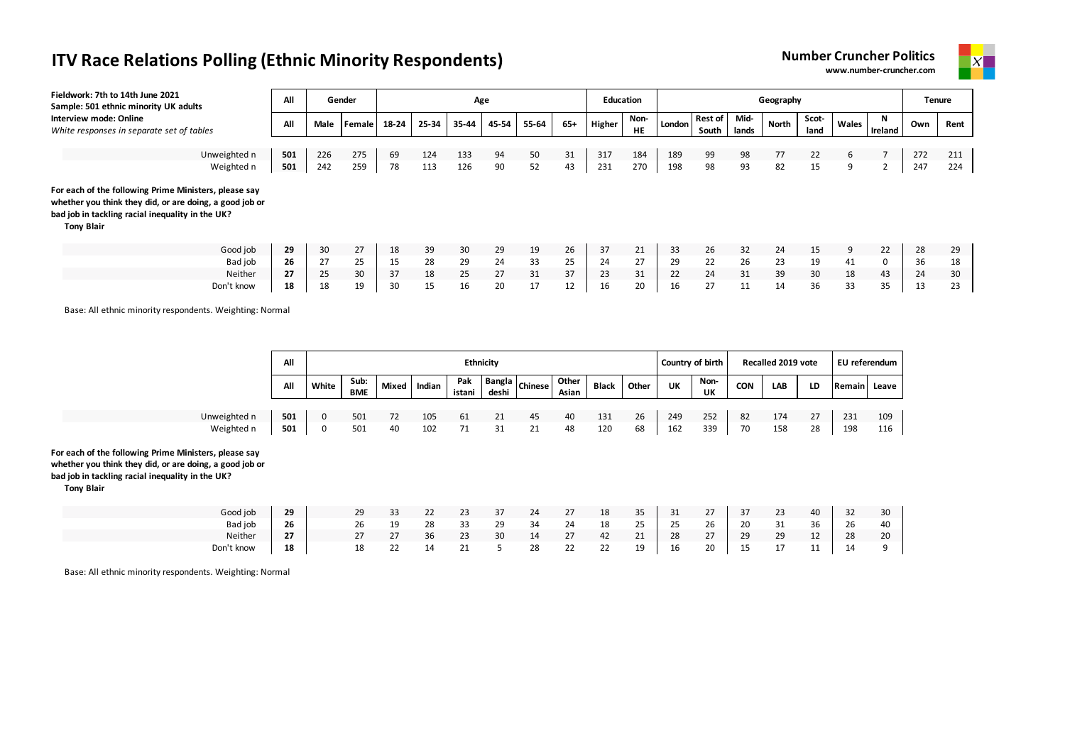



| Fieldwork: 7th to 14th June 2021<br>Sample: 501 ethnic minority UK adults                                                                                                                 | All |      | Gender        |       |       | Age   |       |       |       | <b>Education</b> |                   |        |                         |               | Geography |               |       |                | <b>Tenure</b> |      |
|-------------------------------------------------------------------------------------------------------------------------------------------------------------------------------------------|-----|------|---------------|-------|-------|-------|-------|-------|-------|------------------|-------------------|--------|-------------------------|---------------|-----------|---------------|-------|----------------|---------------|------|
| Interview mode: Online<br>White responses in separate set of tables                                                                                                                       | All | Male | <b>Female</b> | 18-24 | 25-34 | 35-44 | 45-54 | 55-64 | $65+$ | Higher           | Non-<br><b>HE</b> | London | <b>Rest of</b><br>South | Mid-<br>lands | North     | Scot-<br>land | Wales | N<br>Ireland   | Own           | Rent |
| Unweighted n                                                                                                                                                                              | 501 | 226  | 275           | 69    | 124   | 133   | 94    | 50    | 31    | 317              | 184               | 189    | 99                      | 98            | 77        | 22            | 6     |                | 272           | 211  |
| Weighted n                                                                                                                                                                                | 501 | 242  | 259           | 78    | 113   | 126   | 90    | 52    | 43    | 231              | 270               | 198    | 98                      | 93            | 82        | 15            | 9     | $\overline{2}$ | 247           | 224  |
| For each of the following Prime Ministers, please say<br>whether you think they did, or are doing, a good job or<br>bad job in tackling racial inequality in the UK?<br><b>Tony Blair</b> |     |      |               |       |       |       |       |       |       |                  |                   |        |                         |               |           |               |       |                |               |      |
| Good job                                                                                                                                                                                  | 29  | 30   | 27            | 18    | 39    | 30    | 29    | 19    | 26    | 37               | 21                | 33     | 26                      | 32            | 24        | 15            | 9     | 22             | 28            | 29   |
| Bad job                                                                                                                                                                                   | 26  | 27   | 25            | 15    | 28    | 29    | 24    | 33    | 25    | 24               | 27                | 29     | 22                      | 26            | 23        | 19            | 41    | 0              | 36            | 18   |
| <b>Neither</b>                                                                                                                                                                            | 27  | 25   | 30            | 37    | 18    | 25    | 27    | 31    | 37    | 23               | 31                | 22     | 24                      | 31            | 39        | 30            | 18    | 43             | 24            | 30   |
| Don't know                                                                                                                                                                                | 18  | 18   | 19            | 30    | 15    | 16    | 20    | 17    | 12    | 16               | 20                | 16     | 27                      | 11            | 14        | 36            | 33    | 35             | 13            | 23   |

Base: All ethnic minority respondents. Weighting: Normal

|                                                                                                                                                                      | All |       |                    |    |              | <b>Ethnicity</b> |       |                      |                |              |       | Country of birth |            |            | Recalled 2019 vote |    | EU referendum |     |
|----------------------------------------------------------------------------------------------------------------------------------------------------------------------|-----|-------|--------------------|----|--------------|------------------|-------|----------------------|----------------|--------------|-------|------------------|------------|------------|--------------------|----|---------------|-----|
|                                                                                                                                                                      | All | White | Sub:<br><b>BME</b> |    | Mixed Indian | Pak<br>istani    | deshi | K   Bangla   Chinese | Other<br>Asian | <b>Black</b> | Other | UK               | Non-<br>UK | <b>CON</b> | <b>LAB</b>         | LD | Remain Leave  |     |
|                                                                                                                                                                      |     |       |                    |    |              |                  |       |                      |                |              |       |                  |            |            |                    |    |               |     |
| Unweighted n                                                                                                                                                         | 501 | 0     | 501                | 72 | 105          | 61               | 21    | 45                   | 40             | 131          | 26    | 249              | 252        | 82         | 174                | 27 | 231           | 109 |
| Weighted n                                                                                                                                                           | 501 | 0     | 501                | 40 | 102          | 71               | 31    | 21                   | 48             | 120          | 68    | 162              | 339        | 70         | 158                | 28 | 198           | 116 |
| For each of the following Prime Ministers, please say<br>whether you think they did, or are doing, a good job or<br>bad job in tackling racial inequality in the UK? |     |       |                    |    |              |                  |       |                      |                |              |       |                  |            |            |                    |    |               |     |

**Tony Blair**

| Good job   | 29 | 29 | 33 | $\mathbf{a}$<br>22 | 23   |    | 24 | 27        | 18 | 35                  | 31 | 27 | 37 | 23 | 40        | -32 | 30 |
|------------|----|----|----|--------------------|------|----|----|-----------|----|---------------------|----|----|----|----|-----------|-----|----|
| Bad job    | 26 | 26 | 19 | 28                 | - 33 | 29 | 34 | 24        | 18 | $\mathcal{L}$<br>25 | 25 | 26 | 20 | 31 | 36        | 26  | 40 |
| Neither    | 27 | 27 | 27 | 36                 | 23   | 30 | 14 | 27        | 42 | 21                  | 28 | 27 | 29 | 29 | 12        | 28  | 20 |
| Don't know | 18 | 18 | 22 | 14                 | 71   |    | 28 | <u>__</u> | 22 | 19                  | 16 | 20 | ب  | 17 | 11<br>. . | 14  |    |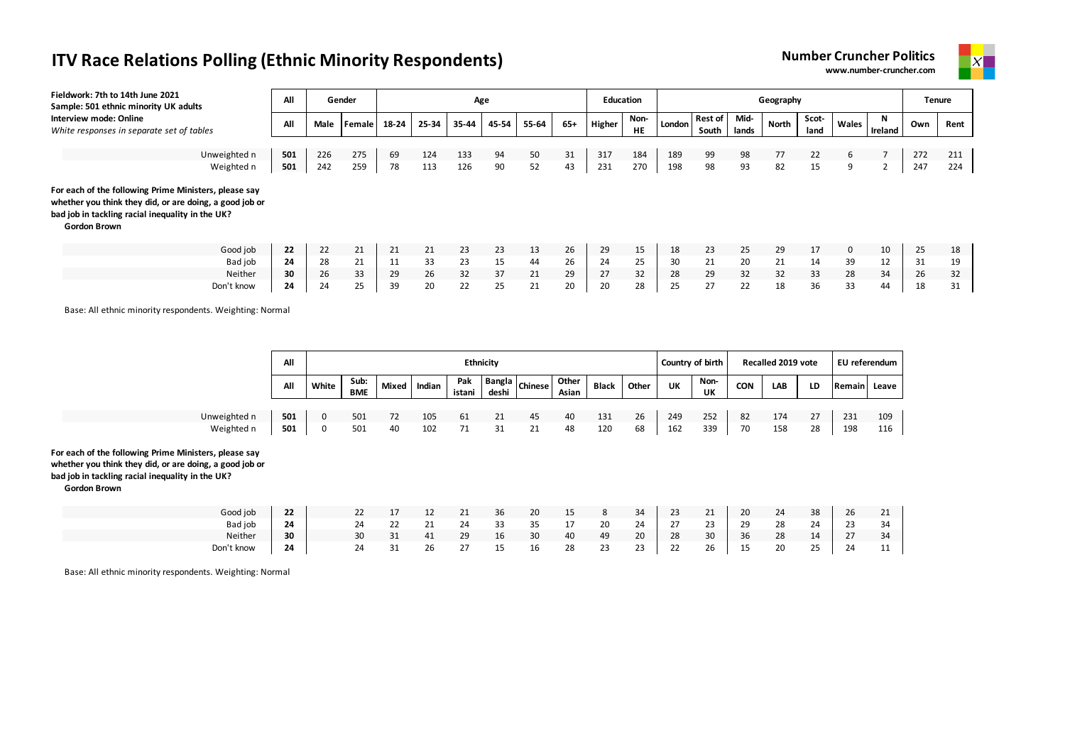



| Fieldwork: 7th to 14th June 2021<br>Sample: 501 ethnic minority UK adults                                                                                                                   | All |      | Gender |       |       | Age   |       |       |     | <b>Education</b> |                   |        |                         |               | Geography |               |              |              |     | <b>Tenure</b> |
|---------------------------------------------------------------------------------------------------------------------------------------------------------------------------------------------|-----|------|--------|-------|-------|-------|-------|-------|-----|------------------|-------------------|--------|-------------------------|---------------|-----------|---------------|--------------|--------------|-----|---------------|
| Interview mode: Online<br>White responses in separate set of tables                                                                                                                         | All | Male | Female | 18-24 | 25-34 | 35-44 | 45-54 | 55-64 | 65+ | Higher           | Non-<br><b>HE</b> | London | <b>Rest of</b><br>South | Mid-<br>lands | North     | Scot-<br>land | Wales        | N<br>Ireland | Own | Rent          |
|                                                                                                                                                                                             |     |      |        |       |       |       |       |       |     |                  |                   |        |                         |               |           |               |              |              |     |               |
| Unweighted n                                                                                                                                                                                | 501 | 226  | 275    | 69    | 124   | 133   | 94    | 50    | 31  | 317              | 184               | 189    | 99                      | 98            | 77        | 22            | 6            |              | 272 | 211           |
| Weighted n                                                                                                                                                                                  | 501 | 242  | 259    | 78    | 113   | 126   | 90    | 52    | 43  | 231              | 270               | 198    | 98                      | 93            | 82        | 15            | 9            | ∠            | 247 | 224           |
| For each of the following Prime Ministers, please say<br>whether you think they did, or are doing, a good job or<br>bad job in tackling racial inequality in the UK?<br><b>Gordon Brown</b> |     |      |        |       |       |       |       |       |     |                  |                   |        |                         |               |           |               |              |              |     |               |
| Good job                                                                                                                                                                                    | 22  | 22   | 21     | 21    | 21    | 23    | 23    | 13    | 26  | 29               | 15                | 18     | 23                      | 25            | 29        | 17            | $\mathbf{0}$ | 10           | 25  | 18            |
| Bad job                                                                                                                                                                                     | 24  | 28   | 21     | 11    | 33    | 23    | 15    | 44    | 26  | 24               | 25                | 30     | 21                      | 20            | 21        | 14            | 39           | 12           | 31  | 19            |
| Neither                                                                                                                                                                                     | 30  | 26   | 33     | 29    | 26    | 32    | 37    | 21    | 29  | 27               | 32                | 28     | 29                      | 32            | 32        | 33            | 28           | 34           | 26  | 32            |
| Don't know                                                                                                                                                                                  | 24  | 24   | 25     | 39    | 20    | 22    | 25    | 21    | 20  | 20               | 28                | 25     | 27                      | 22            | 18        | 36            | 33           | 44           | 18  | 31            |

Base: All ethnic minority respondents. Weighting: Normal

|                                                                                                                                                                                             | All |              |             |       |        |               | <b>Ethnicity</b> |                      |                |              |       |     | Country of birth  |            | Recalled 2019 vote |    | EU referendum |       |
|---------------------------------------------------------------------------------------------------------------------------------------------------------------------------------------------|-----|--------------|-------------|-------|--------|---------------|------------------|----------------------|----------------|--------------|-------|-----|-------------------|------------|--------------------|----|---------------|-------|
|                                                                                                                                                                                             | All | White        | Sub:<br>BME | Mixed | Indian | Pak<br>istani | deshi            | K   Bangla   Chinese | Other<br>Asian | <b>Black</b> | Other | UK  | Non-<br><b>UK</b> | <b>CON</b> | LAB                | LD | Remain        | Leave |
|                                                                                                                                                                                             |     |              |             |       |        |               |                  |                      |                |              |       |     |                   |            |                    |    |               |       |
| Unweighted n                                                                                                                                                                                | 501 | $\mathbf{0}$ | 501         | 72    | 105    | 61            | 21               | 45                   | 40             | 131          | 26    | 249 | 252               | 82         | 174                | 27 | 231           | 109   |
| Weighted n                                                                                                                                                                                  | 501 | 0            | 501         | 40    | 102    | 71            | 31               | 21                   | 48             | 120          | 68    | 162 | 339               | 70         | 158                | 28 | 198           | 116   |
| For each of the following Prime Ministers, please say<br>whether you think they did, or are doing, a good job or<br>bad job in tackling racial inequality in the UK?<br><b>Gordon Brown</b> |     |              |             |       |        |               |                  |                      |                |              |       |     |                   |            |                    |    |               |       |

| Good job   | 22 | 22 |    |              | ᅩ           | $\mathbf{a}$<br>ᅩ | 36     | 20 | $\sim$ $\sim$<br>ᅩ | $\circ$ | 34 | $\sim$<br>23             | 21      | 20 | 24 | 38 | 26                       | 21  |
|------------|----|----|----|--------------|-------------|-------------------|--------|----|--------------------|---------|----|--------------------------|---------|----|----|----|--------------------------|-----|
| Bad job    | 24 |    | 24 | $\mathbf{a}$ | $\sim$<br>ᅩ | 24                | 33     | 35 | -                  | 20      | 24 | $\sim$<br>$\mathcal{L}I$ | າາ<br>ت | 29 | 28 | 24 | $\sim$<br>-23            | -34 |
| Neither    | 30 | 30 |    |              | 41          | 29                | $\sim$ | 30 | 40                 | 49      | 20 | 28                       | 30      | 36 | 28 | 14 | $\sim$<br>$\mathcal{L}I$ | -34 |
| Don't know | 24 |    | 24 | 31           | 26          | $\sim$            | --     | 16 | 28                 | 23      | 23 | $\sim$<br>ᅩ              | 26      | 15 | 20 | 25 | 24                       | 11  |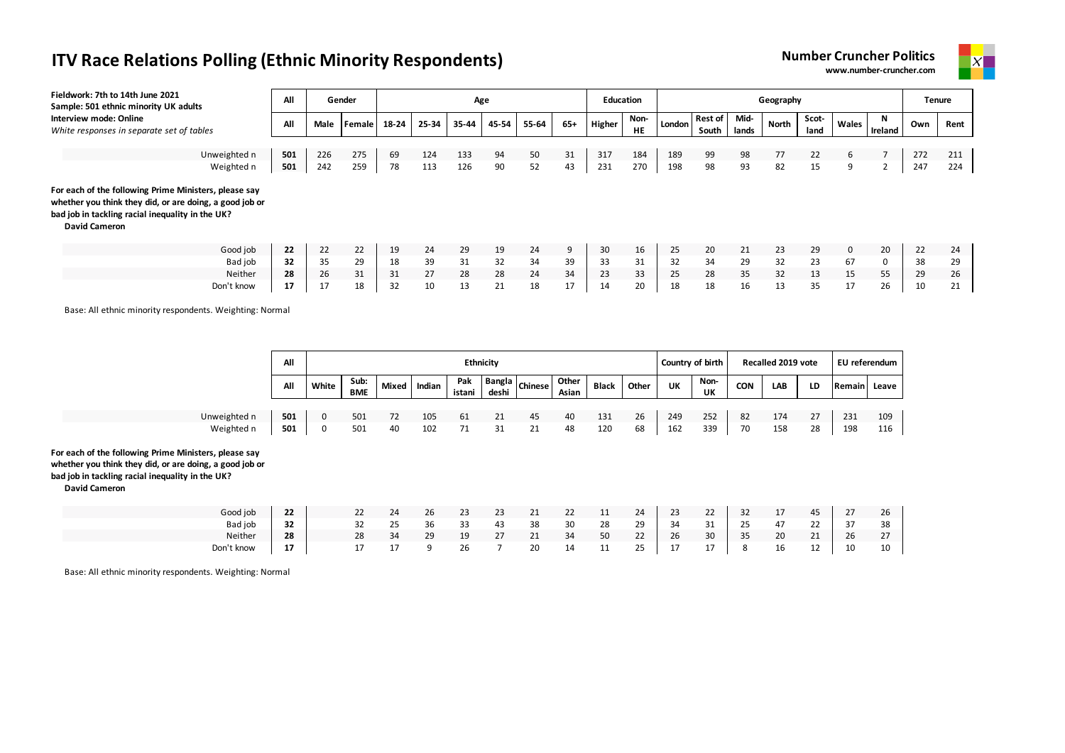



| Fieldwork: 7th to 14th June 2021<br>Sample: 501 ethnic minority UK adults                                                                                                                    | All |             | Gender |       |       | Age   |       |       |     | <b>Education</b> |                   |        |                         |               | Geography |               |       |              | <b>Tenure</b> |      |
|----------------------------------------------------------------------------------------------------------------------------------------------------------------------------------------------|-----|-------------|--------|-------|-------|-------|-------|-------|-----|------------------|-------------------|--------|-------------------------|---------------|-----------|---------------|-------|--------------|---------------|------|
| Interview mode: Online<br>White responses in separate set of tables                                                                                                                          | All | <b>Male</b> | Female | 18-24 | 25-34 | 35-44 | 45-54 | 55-64 | 65+ | Higher           | Non-<br><b>HE</b> | London | <b>Rest of</b><br>South | Mid-<br>lands | North     | Scot-<br>land | Wales | N<br>Ireland | Own           | Rent |
| Unweighted n                                                                                                                                                                                 | 501 | 226         | 275    | 69    | 124   | 133   | 94    | 50    | 31  | 317              | 184               | 189    | 99                      | 98            | 77        | 22            | 6     |              | 272           | 211  |
| Weighted n                                                                                                                                                                                   | 501 | 242         | 259    | 78    | 113   | 126   | 90    | 52    | 43  | 231              | 270               | 198    | 98                      | 93            | 82        | 15            | 9     | 2            | 247           | 224  |
| For each of the following Prime Ministers, please say<br>whether you think they did, or are doing, a good job or<br>bad job in tackling racial inequality in the UK?<br><b>David Cameron</b> |     |             |        |       |       |       |       |       |     |                  |                   |        |                         |               |           |               |       |              |               |      |
| Good job                                                                                                                                                                                     | 22  | 22          | 22     | 19    | 24    | 29    | 19    | 24    | 9   | 30               | 16                | 25     | 20                      | 21            | 23        | 29            | 0     | 20           | 22            | 24   |
| Bad job                                                                                                                                                                                      | 32  | 35          | 29     | 18    | 39    | 31    | 32    | 34    | 39  | 33               | 31                | 32     | 34                      | 29            | 32        | 23            | 67    | 0            | 38            | 29   |
| Neither                                                                                                                                                                                      | 28  | 26          | 31     | 31    | 27    | 28    | 28    | 24    | 34  | 23               | 33                | 25     | 28                      | 35            | 32        | 13            | 15    | 55           | 29            | 26   |
| Don't know                                                                                                                                                                                   | 17  | 17          | 18     | 32    | 10    | 13    | 21    | 18    | 17  | 14               | 20                | 18     | 18                      | 16            | 13        | 35            | 17    | 26           | 10            | 21   |

Base: All ethnic minority respondents. Weighting: Normal

|                                                                                                                                                                                              | All |             |             |       |        |               | <b>Ethnicity</b> |                |                |              |       |           | Country of birth |            | Recalled 2019 vote |    |              | EU referendum |
|----------------------------------------------------------------------------------------------------------------------------------------------------------------------------------------------|-----|-------------|-------------|-------|--------|---------------|------------------|----------------|----------------|--------------|-------|-----------|------------------|------------|--------------------|----|--------------|---------------|
|                                                                                                                                                                                              | All | White       | Sub:<br>BME | Mixed | Indian | Pak<br>istani | deshi            | Rangla Chinese | Other<br>Asian | <b>Black</b> | Other | <b>UK</b> | Non-<br>UK       | <b>CON</b> | <b>LAB</b>         | LD | Remain Leave |               |
| Unweighted n                                                                                                                                                                                 | 501 | $\mathbf 0$ | 501         | 72    | 105    | 61            | 21               | 45             | 40             | 131          | 26    | 249       | 252              | 82         | 174                | 27 | 231          | 109           |
| Weighted n                                                                                                                                                                                   | 501 | 0           | 501         | 40    | 102    | 71            | 31               | 21             | 48             | 120          | 68    | 162       | 339              | 70         | 158                | 28 | 198          | 116           |
| For each of the following Prime Ministers, please say<br>whether you think they did, or are doing, a good job or<br>bad job in tackling racial inequality in the UK?<br><b>David Cameron</b> |     |             |             |       |        |               |                  |                |                |              |       |           |                  |            |                    |    |              |               |

| Good job   | 22           |     | 24               | 26       | 23        | $\sim$<br>23             | 21<br><u>_ _</u> |    | $\overline{A}$<br>ŦΤ | 24                | 23             | $\sim$<br>22               | ັ                    | $\overline{a}$<br>1/ | 45                   | 27 | 26           |
|------------|--------------|-----|------------------|----------|-----------|--------------------------|------------------|----|----------------------|-------------------|----------------|----------------------------|----------------------|----------------------|----------------------|----|--------------|
| Bad job    | $\sim$<br>32 | ے ت | $\sim$ $-$<br>25 | 36       | २२<br>ر ر | 43                       | 38               | 30 | 28                   | 29                | 34             | 31                         | 25                   | 47                   | $\sim$<br>22         | 37 | 38           |
| Neither    | 28           | 28  | 34               | 29       | 19        | $\sim$<br>$\mathcal{L}I$ | 21<br><u>_ _</u> | 34 | 50                   | 22                | 26             | 30                         | $\overline{a}$<br>35 | 20                   | $\sim$<br><u>_ _</u> | 26 | 27           |
| Don't know | 17           |     |                  | $\Omega$ | ⁄ ۲       |                          | 20               |    | $\overline{A}$<br>ᅭᆇ | つら<br>້<br>$\sim$ | $\overline{a}$ | $\overline{a}$<br><b>1</b> |                      | 16                   | $\sim$<br>ᅩ          | 10 | 10<br>$\sim$ |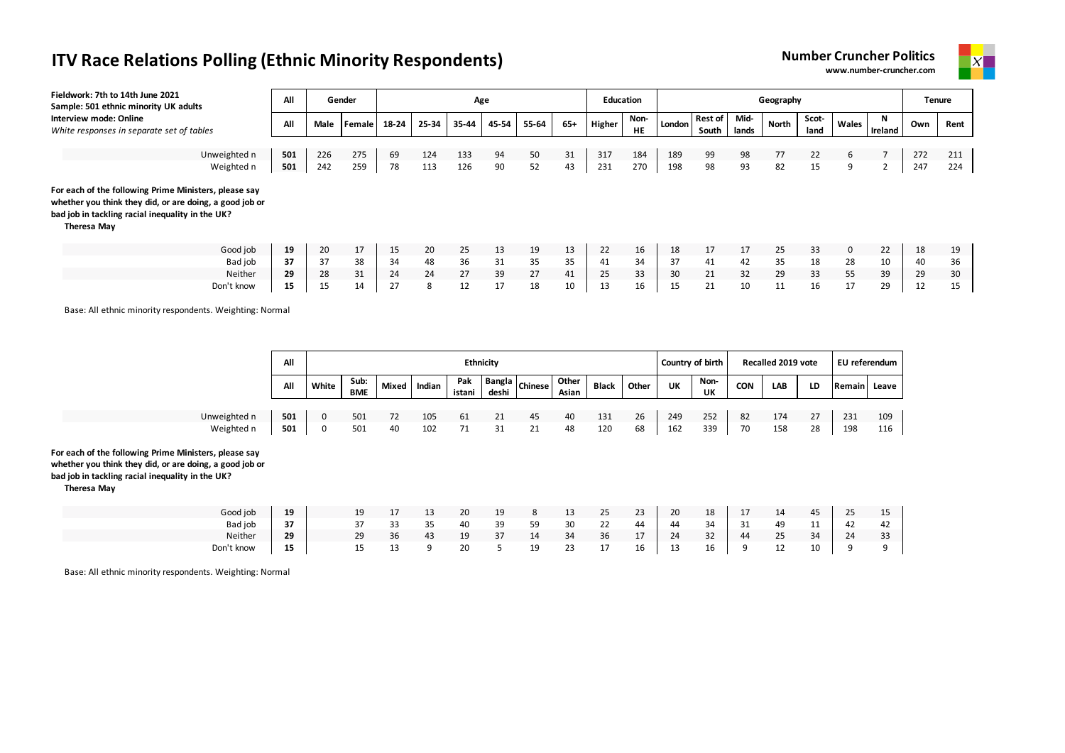



| Fieldwork: 7th to 14th June 2021<br>Sample: 501 ethnic minority UK adults                                                                                                           | All |      | Gender |       |       |       | Age   |       |       | <b>Education</b> |                   |        |                         |               | Geography |               |       |                | <b>Tenure</b> |      |
|-------------------------------------------------------------------------------------------------------------------------------------------------------------------------------------|-----|------|--------|-------|-------|-------|-------|-------|-------|------------------|-------------------|--------|-------------------------|---------------|-----------|---------------|-------|----------------|---------------|------|
| Interview mode: Online<br>White responses in separate set of tables                                                                                                                 | All | Male | Female | 18-24 | 25-34 | 35-44 | 45-54 | 55-64 | $65+$ | Higher           | Non-<br><b>HE</b> | London | <b>Rest of</b><br>South | Mid-<br>lands | North     | Scot-<br>land | Wales | N<br>Ireland   | Own           | Rent |
| Unweighted n                                                                                                                                                                        | 501 | 226  | 275    | 69    | 124   | 133   | 94    | 50    | 31    | 317              | 184               | 189    | 99                      | 98            | 77        | 22            | 6     |                | 272           | 211  |
| Weighted n                                                                                                                                                                          | 501 | 242  | 259    | 78    | 113   | 126   | 90    | 52    | 43    | 231              | 270               | 198    | 98                      | 93            | 82        | 15            | 9     | $\overline{2}$ | 247           | 224  |
| For each of the following Prime Ministers, please say<br>whether you think they did, or are doing, a good job or<br>bad job in tackling racial inequality in the UK?<br>Theresa May |     |      |        |       |       |       |       |       |       |                  |                   |        |                         |               |           |               |       |                |               |      |
| Good job                                                                                                                                                                            | 19  | 20   | 17     | 15    | 20    | 25    | 13    | 19    | 13    | 22               | 16                | 18     | 17                      | 17            | 25        | 33            | 0     | 22             | 18            | 19   |
| Bad job                                                                                                                                                                             | 37  | 37   | 38     | 34    | 48    | 36    | 31    | 35    | 35    | 41               | 34                | 37     | 41                      | 42            | 35        | 18            | 28    | 10             | 40            | 36   |
| Neither                                                                                                                                                                             | 29  | 28   | 31     | 24    | 24    | 27    | 39    | 27    | 41    | 25               | 33                | 30     | 21                      | 32            | 29        | 33            | 55    | 39             | 29            | 30   |
| Don't know                                                                                                                                                                          | 15  | 15   | 14     | 27    | 8     | 12    | 17    | 18    | 10    | 13               | 16                | 15     | 21                      | 10            | 11        | 16            | 17    | 29             | 12            | 15   |

Base: All ethnic minority respondents. Weighting: Normal

|                                                                                                                                                                                     | All |          |             |       |        | <b>Ethnicity</b> |       |                          |                |              |       | Country of birth |            |            | Recalled 2019 vote |    |              | EU referendum |
|-------------------------------------------------------------------------------------------------------------------------------------------------------------------------------------|-----|----------|-------------|-------|--------|------------------|-------|--------------------------|----------------|--------------|-------|------------------|------------|------------|--------------------|----|--------------|---------------|
|                                                                                                                                                                                     | All | White    | Sub:<br>BME | Mixed | Indian | Pak<br>istani    | deshi | $-$   Bangla $ $ Chinese | Other<br>Asian | <b>Black</b> | Other | UK               | Non-<br>UK | <b>CON</b> | <b>LAB</b>         | LD | Remain Leave |               |
|                                                                                                                                                                                     |     |          |             |       |        |                  |       |                          |                |              |       |                  |            |            |                    |    |              |               |
| Unweighted n                                                                                                                                                                        | 501 | 0        | 501         | 72    | 105    | 61               | 21    | 45                       | 40             | 131          | 26    | 249              | 252        | 82         | 174                | 27 | 231          | 109           |
| Weighted n                                                                                                                                                                          | 501 | $\Omega$ | 501         | 40    | 102    | 71               | 31    | 21                       | 48             | 120          | 68    | 162              | 339        | 70         | 158                | 28 | 198          | 116           |
| For each of the following Prime Ministers, please say<br>whether you think they did, or are doing, a good job or<br>bad job in tackling racial inequality in the UK?<br>Theresa May |     |          |             |       |        |                  |       |                          |                |              |       |                  |            |            |                    |    |              |               |

| Good job   | 19 | 19 | 17 | 13 | 20            | 19 | 8  | 13 | 25 | 23              | - 20 | 18 | 17  | 14 | 45 | 25       | 15 |
|------------|----|----|----|----|---------------|----|----|----|----|-----------------|------|----|-----|----|----|----------|----|
| Bad job    | 37 | 37 |    | 35 | 40            | 39 | 59 | 30 | 22 | 44              | 44   | 34 | -31 | 49 | 11 | 42       | 42 |
| Neither    | 29 | 29 | 36 | 43 | 19<br><b></b> | 37 | 14 | 34 | 36 | 17<br><b>LI</b> | 24   | 32 | 44  | 25 | 34 | 24       | 33 |
| Don't know | 15 | 15 | 13 |    | 20            |    | 19 | 23 | 17 | 16              | 13   | 16 |     | 12 | 10 | $\Omega$ |    |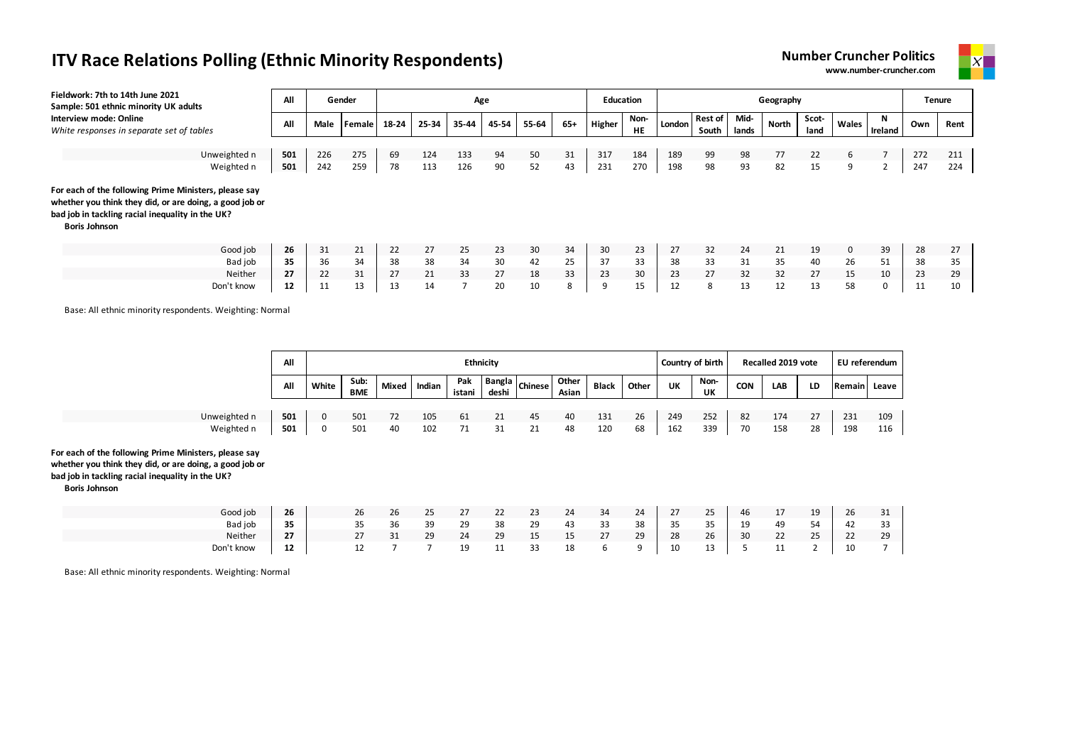



| Fieldwork: 7th to 14th June 2021<br>Sample: 501 ethnic minority UK adults                                                                                                                    | All |      | Gender |       |       | Age   |       |       |       | <b>Education</b> |                   |        |                  |               | Geography    |               |              |          | <b>Tenure</b> |      |
|----------------------------------------------------------------------------------------------------------------------------------------------------------------------------------------------|-----|------|--------|-------|-------|-------|-------|-------|-------|------------------|-------------------|--------|------------------|---------------|--------------|---------------|--------------|----------|---------------|------|
| Interview mode: Online<br>White responses in separate set of tables                                                                                                                          | All | Male | Female | 18-24 | 25-34 | 35-44 | 45-54 | 55-64 | $65+$ | Higher           | Non-<br><b>HE</b> | London | Rest of<br>South | Mid-<br>lands | <b>North</b> | Scot-<br>land | Wales        | Ireland  | Own           | Rent |
|                                                                                                                                                                                              |     |      |        |       |       |       |       |       |       |                  |                   |        |                  |               |              |               |              |          |               |      |
| Unweighted n                                                                                                                                                                                 | 501 | 226  | 275    | 69    | 124   | 133   | 94    | 50    | 31    | 317              | 184               | 189    | 99               | 98            | 77           | 22            | 6            |          | 272           | 211  |
| Weighted n                                                                                                                                                                                   | 501 | 242  | 259    | 78    | 113   | 126   | 90    | 52    | 43    | 231              | 270               | 198    | 98               | 93            | 82           | 15            | 9            |          | 247           | 224  |
| For each of the following Prime Ministers, please say<br>whether you think they did, or are doing, a good job or<br>bad job in tackling racial inequality in the UK?<br><b>Boris Johnson</b> |     |      |        |       |       |       |       |       |       |                  |                   |        |                  |               |              |               |              |          |               |      |
| Good job                                                                                                                                                                                     | 26  | 31   | 21     | 22    | 27    | 25    | 23    | 30    | 34    | 30               | 23                | 27     | 32               | 24            | 21           | 19            | $\mathbf{0}$ | 39       | 28            | 27   |
| Bad job                                                                                                                                                                                      | 35  | 36   | 34     | 38    | 38    | 34    | 30    | 42    | 25    | 37               | 33                | 38     | 33               | 31            | 35           | 40            | 26           | 51       | 38            | 35   |
| Neither                                                                                                                                                                                      | 27  | 22   | 31     | 27    | 21    | 33    | 27    | 18    | 33    | 23               | 30                | 23     | 27               | 32            | 32           | 27            | 15           | 10       | 23            | 29   |
| Don't know                                                                                                                                                                                   | 12  | 11   | 13     | 13    | 14    |       | 20    | 10    | 8     | ۰Q               | 15                | 12     | 8                | 13            | 12           | 13            | 58           | $\Omega$ | 11            | 10   |

Base: All ethnic minority respondents. Weighting: Normal

|                                                                                                                                                                                              | All        |        |             |              |            |               | <b>Ethnicity</b> |                                                                    |                |              |          | Country of birth |            |            | Recalled 2019 vote |          | EU referendum |            |
|----------------------------------------------------------------------------------------------------------------------------------------------------------------------------------------------|------------|--------|-------------|--------------|------------|---------------|------------------|--------------------------------------------------------------------|----------------|--------------|----------|------------------|------------|------------|--------------------|----------|---------------|------------|
|                                                                                                                                                                                              | All        | White  | Sub:<br>BME | <b>Mixed</b> | Indian     | Pak<br>istani | deshi            | $\overline{\phantom{a}}$   Bangla $\overline{\phantom{a}}$ Chinese | Other<br>Asian | <b>Black</b> | Other    | <b>UK</b>        | Non-<br>UK | <b>CON</b> | LAB                | LD       | Remain Leave  |            |
| Unweighted n<br>Weighted n                                                                                                                                                                   | 501<br>501 | 0<br>0 | 501<br>501  | 72<br>40     | 105<br>102 | 61<br>71      | 21<br>31         | 45<br>21                                                           | 40<br>48       | 131<br>120   | 26<br>68 | 249<br>162       | 252<br>339 | 82<br>70   | 174<br>158         | 27<br>28 | 231<br>198    | 109<br>116 |
| For each of the following Prime Ministers, please say<br>whether you think they did, or are doing, a good job or<br>bad job in tackling racial inequality in the UK?<br><b>Boris Johnson</b> |            |        |             |              |            |               |                  |                                                                    |                |              |          |                  |            |            |                    |          |               |            |

| Good job   | 26 | 26 | 26 | 25 | 27 | 22            | 23 | 24 | 34 | 24 | - 27 | 25      | 46 | 17 | 19 | -26  | 31 |
|------------|----|----|----|----|----|---------------|----|----|----|----|------|---------|----|----|----|------|----|
| Bad job    | 35 | 35 | 36 | 39 | 29 | 38            | 29 | 43 | 33 | 38 | 35   | 35      | 19 | 49 | 54 | 42   | 33 |
| Neither    | 27 | 27 | 31 | 29 | 24 | 29            | 15 | 15 | 27 | 29 | 28   | 26      | 30 | 22 | 25 | - 22 | 29 |
| Don't know | 12 | 12 |    |    | 19 | $\sim$<br>. . | 33 | 18 |    |    | 10   | 13<br>∸ |    |    |    | 10   |    |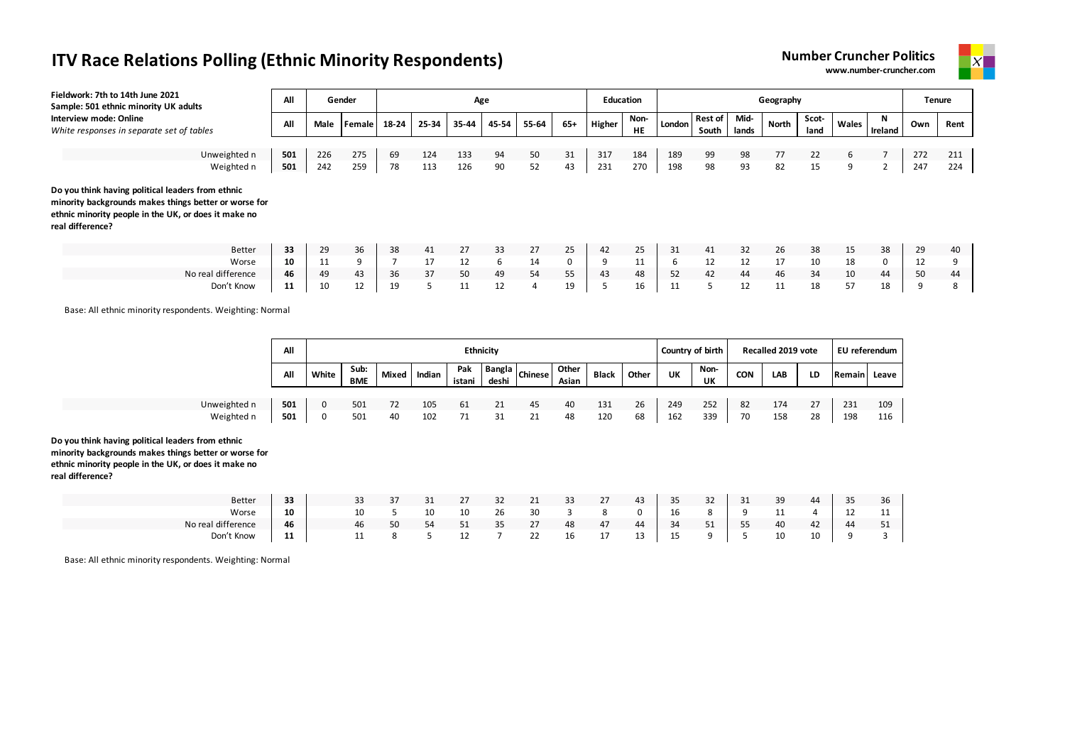



| Fieldwork: 7th to 14th June 2021<br>Sample: 501 ethnic minority UK adults                                                                                                              | All |      | Gender |       |       | Age   |       |       |     | <b>Education</b> |            |        |                         |               | Geography |               |       |              | <b>Tenure</b> |      |
|----------------------------------------------------------------------------------------------------------------------------------------------------------------------------------------|-----|------|--------|-------|-------|-------|-------|-------|-----|------------------|------------|--------|-------------------------|---------------|-----------|---------------|-------|--------------|---------------|------|
| Interview mode: Online<br>White responses in separate set of tables                                                                                                                    | All | Male | Female | 18-24 | 25-34 | 35-44 | 45-54 | 55-64 | 65+ | Higher           | Non-<br>HE | London | <b>Rest of</b><br>South | Mid-<br>lands | North     | Scot-<br>land | Wales | N<br>Ireland | Own           | Rent |
|                                                                                                                                                                                        |     |      |        |       |       |       |       |       |     |                  |            |        |                         |               |           |               |       |              |               |      |
| Unweighted n                                                                                                                                                                           | 501 | 226  | 275    | 69    | 124   | 133   | 94    | 50    | 31  | 317              | 184        | 189    | 99                      | 98            | 77        | 22            | 6     |              | 272           | 211  |
| Weighted n                                                                                                                                                                             | 501 | 242  | 259    | 78    | 113   | 126   | 90    | 52    | 43  | 231              | 270        | 198    | 98                      | 93            | 82        | 15            | 9     | $\mathbf{2}$ | 247           | 224  |
| Do you think having political leaders from ethnic<br>minority backgrounds makes things better or worse for<br>ethnic minority people in the UK, or does it make no<br>real difference? |     |      |        |       |       |       |       |       |     |                  |            |        |                         |               |           |               |       |              |               |      |
| <b>Better</b>                                                                                                                                                                          | 33  | 29   | 36     | 38    | 41    | 27    | 33    | 27    | 25  | 42               | 25         | 31     | 41                      | 32            | 26        | 38            | 15    | 38           | 29            | 40   |
| Worse                                                                                                                                                                                  | 10  | 11   | 9      |       | 17    | 12    | 6     | 14    | 0   | 9                | 11         | 6      | 12                      | 12            | 17        | 10            | 18    | 0            | 12            | 9    |
| No real difference                                                                                                                                                                     | 46  | 49   | 43     | 36    | 37    | 50    | 49    | 54    | 55  | 43               | 48         | 52     | 42                      | 44            | 46        | 34            | 10    | 44           | 50            | 44   |
| Don't Know                                                                                                                                                                             | 11  | 10   | 12     | 19    |       | 11    | 12    | 4     | 19  | ∍                | 16         | 11     | 5                       | 12            | 11        | 18            | 57    | 18           | 9             | ŏ    |

Base: All ethnic minority respondents. Weighting: Normal

|                                                                                                                                                                    | All |       |             |    |              | <b>Ethnicity</b> |       |                           |                |              |       | Country of birth |            |            | Recalled 2019 vote |    | EU referendum |     |
|--------------------------------------------------------------------------------------------------------------------------------------------------------------------|-----|-------|-------------|----|--------------|------------------|-------|---------------------------|----------------|--------------|-------|------------------|------------|------------|--------------------|----|---------------|-----|
|                                                                                                                                                                    | All | White | Sub:<br>BME |    | Mixed Indian | Pak<br>istani    | deshi | $\sim$   Bangla   Chinese | Other<br>Asian | <b>Black</b> | Other | UK               | Non-<br>UK | <b>CON</b> | LAB                | LD | Remain Leave  |     |
| Unweighted n                                                                                                                                                       | 501 |       | 501         | 72 | 105          | 61               | 21    | 45                        | 40             | 131          | 26    | 249              | 252        | 82         | 174                | 27 | 231           | 109 |
| Weighted n                                                                                                                                                         | 501 | 0     | 501         | 40 | 102          | 71               | 31    | 21                        | 48             | 120          | 68    | 162              | 339        | 70         | 158                | 28 | 198           | 116 |
| Do you think having political leaders from ethnic<br>minority backgrounds makes things better or worse for<br>ethnic minority people in the UK, or does it make no |     |       |             |    |              |                  |       |                           |                |              |       |                  |            |            |                    |    |               |     |

**real difference?**

| Better             | 33     | 33 | $\sim$ $-$ | 31 |    | 32           | 21 | 33<br>ر ر | 27                        | 43      | 35 | $\sim$<br>32         | $\mathbf{a}$<br>-31 | 39  | $\Lambda$ | 35 | 36              |
|--------------------|--------|----|------------|----|----|--------------|----|-----------|---------------------------|---------|----|----------------------|---------------------|-----|-----------|----|-----------------|
| Worse              | 10     | 10 |            | 10 | 10 | 26           | 30 |           |                           |         | 16 |                      |                     | . . |           | ᅩ  | 11<br><b>++</b> |
| No real difference | 46     | 46 | 50         | 54 | ᇰᆂ | $\sim$<br>-- | 27 | 48        | 47                        | 44      | 34 | F <sub>4</sub><br>ᇰᆂ | $- -$<br>- - -      | 40  | 42        | 44 | $-4$<br>ᇰᆂ      |
| Don't Know         | 11<br> |    |            |    | ᅩ  |              | 22 | 16        | $\rightarrow$<br><b>+</b> | 13<br>ᅩ | -- |                      |                     | 10  | 10        |    |                 |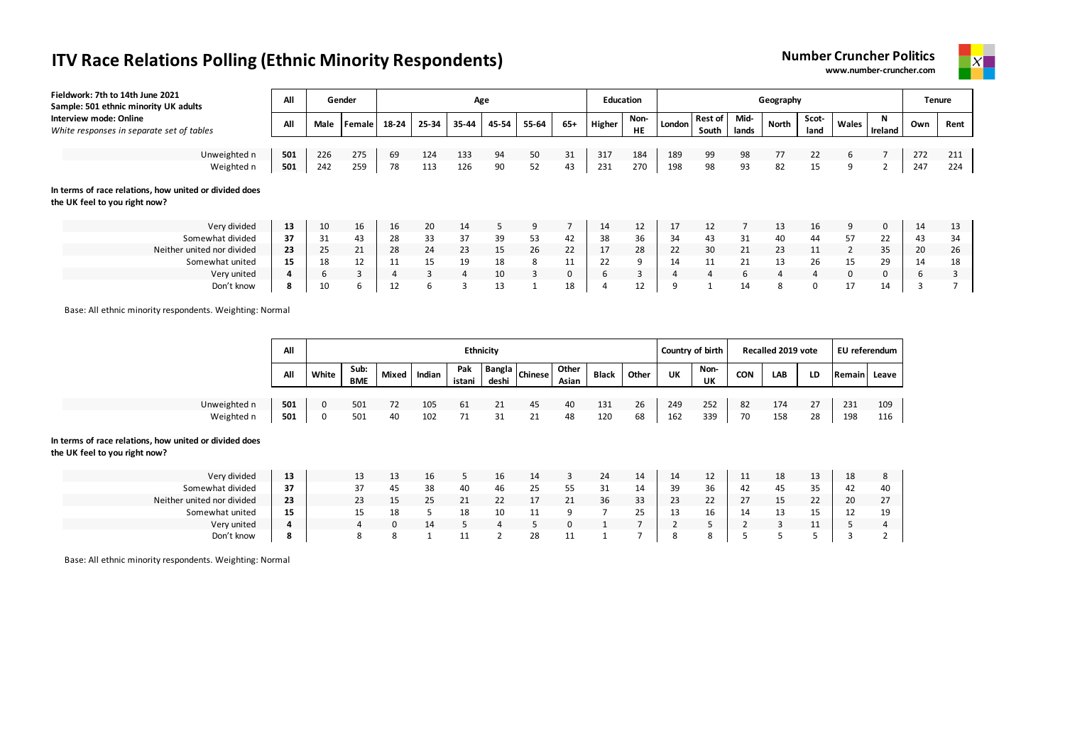| Fieldwork: 7th to 14th June 2021<br>Sample: 501 ethnic minority UK adults               | All |      | Gender        |       |       |       | Age   |       |             | <b>Education</b> |                   |        |                  |               | Geography    |               |                |                |     | Tenure |
|-----------------------------------------------------------------------------------------|-----|------|---------------|-------|-------|-------|-------|-------|-------------|------------------|-------------------|--------|------------------|---------------|--------------|---------------|----------------|----------------|-----|--------|
| Interview mode: Online<br>White responses in separate set of tables                     | All | Male | <b>Female</b> | 18-24 | 25-34 | 35-44 | 45-54 | 55-64 | $65+$       | Higher           | Non-<br><b>HE</b> | London | Rest of<br>South | Mid-<br>lands | <b>North</b> | Scot-<br>land | Wales          | N<br>Ireland   | Own | Rent   |
|                                                                                         |     |      |               |       |       |       |       |       |             |                  |                   |        |                  |               |              |               |                |                |     |        |
| Unweighted n                                                                            | 501 | 226  | 275           | 69    | 124   | 133   | 94    | 50    | 31          | 317              | 184               | 189    | 99               | 98            | 77           | 22            | 6              |                | 272 | 211    |
| Weighted n                                                                              | 501 | 242  | 259           | 78    | 113   | 126   | 90    | 52    | 43          | 231              | 270               | 198    | 98               | 93            | 82           | 15            | 9              | $\overline{2}$ | 247 | 224    |
| In terms of race relations, how united or divided does<br>the UK feel to you right now? |     |      |               |       |       |       |       |       |             |                  |                   |        |                  |               |              |               |                |                |     |        |
| Very divided                                                                            | 13  | 10   | 16            | 16    | 20    | 14    | 5.    | 9     |             | 14               | 12                | 17     | 12               |               | 13           | 16            | 9              | 0              | 14  | 13     |
| Somewhat divided                                                                        | 37  | 31   | 43            | 28    | 33    | 37    | 39    | 53    | 42          | 38               | 36                | 34     | 43               | 31            | 40           | 44            | 57             | 22             | 43  | 34     |
| Neither united nor divided                                                              | 23  | 25   | 21            | 28    | 24    | 23    | 15    | 26    | 22          | 17               | 28                | 22     | 30               | 21            | 23           | 11            | $\overline{2}$ | 35             | 20  | 26     |
| Somewhat united                                                                         | 15  | 18   | 12            | 11    | 15    | 19    | 18    | 8     | 11          | 22               | 9                 | 14     | 11               | 21            | 13           | 26            | 15             | 29             | 14  | 18     |
| Very united                                                                             |     | b    |               |       |       | 4     | 10    | 3     | $\mathbf 0$ | 6                | 3                 |        |                  | 6             | 4            | 4             | 0              | $\mathbf 0$    |     | 3      |

Don't know **8** 10 6 12 6 3 13 1 18 4 12 9 1 14 8 0 17 14 3 7

Base: All ethnic minority respondents. Weighting: Normal

|                                               | All |       |                    |       |        |               | <b>Ethnicity</b> |                |                |                |       |                | Country of birth |            | Recalled 2019 vote |    | EU referendum |     |
|-----------------------------------------------|-----|-------|--------------------|-------|--------|---------------|------------------|----------------|----------------|----------------|-------|----------------|------------------|------------|--------------------|----|---------------|-----|
|                                               | All | White | Sub:<br><b>BME</b> | Mixed | Indian | Pak<br>istani | deshi            | Bangla Chinese | Other<br>Asian | <b>Black</b>   | Other | UK             | Non-<br>UK       | <b>CON</b> | LAB                | LD | Remain Leave  |     |
|                                               |     |       |                    |       |        |               |                  |                |                |                |       |                |                  |            |                    |    |               |     |
| Unweighted n                                  | 501 | 0     | 501                | 72    | 105    | 61            | 21               | 45             | 40             | 131            | 26    | 249            | 252              | 82         | 174                | 27 | 231           | 109 |
| Weighted n                                    | 501 | 0     | 501                | 40    | 102    | 71            | 31               | 21             | 48             | 120            | 68    | 162            | 339              | 70         | 158                | 28 | 198           | 116 |
| the UK feel to you right now?<br>Very divided | 13  |       | 13                 | 13    | 16     | 5             | 16               | 14             | 3              | 24             | 14    | 14             | 12               | 11         | 18                 | 13 | 18            | 8   |
| Somewhat divided                              | 37  |       | 37                 | 45    | 38     | 40            | 46               | 25             | 55             | 31             | 14    | 39             | 36               | 42         | 45                 | 35 | 42            | 40  |
| Neither united nor divided                    | 23  |       | 23                 | 15    | 25     | 21            | 22               | 17             | 21             | 36             | 33    | 23             | 22               | 27         | 15                 | 22 | 20            | 27  |
| Somewhat united                               | 15  |       | 15                 | 18    | 5      | 18            | 10               | 11             | 9              | $\overline{7}$ | 25    | 13             | 16               | 14         | 13                 | 15 | 12            | 19  |
| Very united                                   | 4   |       | 4                  | 0     | 14     | 5             | $\overline{4}$   | 5              | $\Omega$       |                | E     | $\overline{2}$ | 5                |            | 3                  | 11 | כ             | 4   |
| Don't know                                    | 8   |       | 8                  | 8     |        | 11            | 2                | 28             | 11             |                |       | 8              | 8                |            |                    |    |               |     |

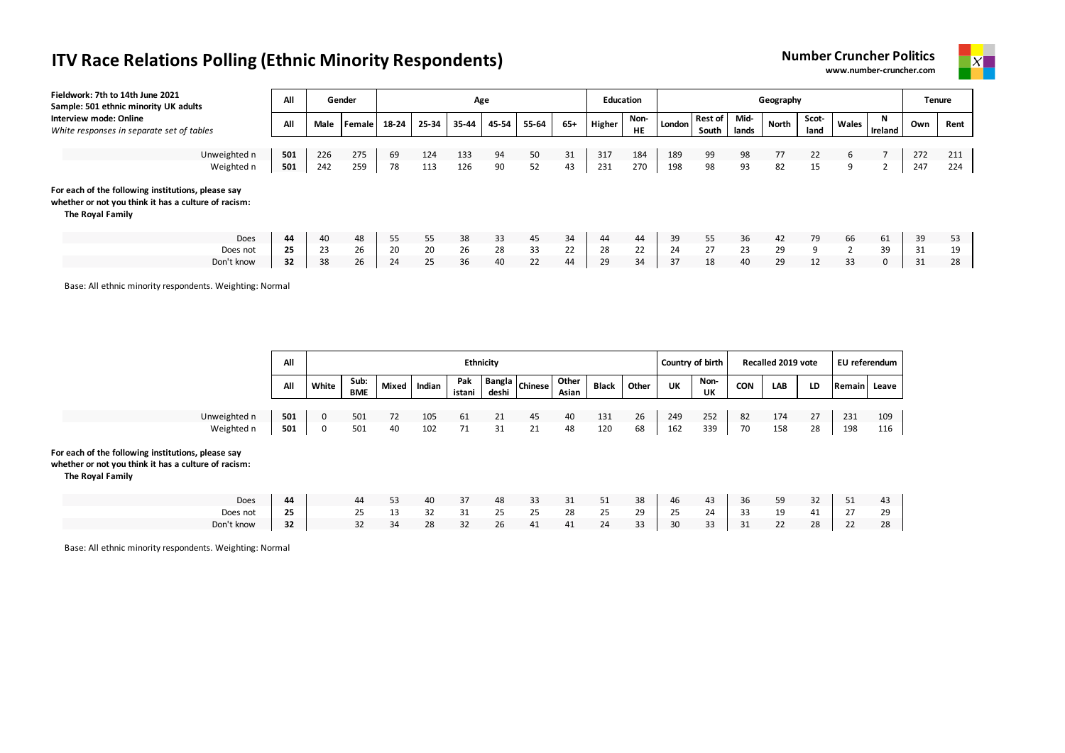



| Fieldwork: 7th to 14th June 2021<br>Sample: 501 ethnic minority UK adults                                                      | All        |            | Gender     |          |            |            | Age      |          |          | <b>Education</b> |                   |            |                         |               | Geography |               |        |                |            | Tenure     |
|--------------------------------------------------------------------------------------------------------------------------------|------------|------------|------------|----------|------------|------------|----------|----------|----------|------------------|-------------------|------------|-------------------------|---------------|-----------|---------------|--------|----------------|------------|------------|
| Interview mode: Online<br>White responses in separate set of tables                                                            | All        | Male       | Female     | 18-24    | 25-34      | 35-44      | 45-54    | 55-64    | $65+$    | Higher           | Non-<br><b>HE</b> | London     | <b>Rest of</b><br>South | Mid-<br>lands | North     | Scot-<br>land | Wales  | N<br>Ireland   | Own        | Rent       |
| Unweighted n<br>Weighted n                                                                                                     | 501<br>501 | 226<br>242 | 275<br>259 | 69<br>78 | 124<br>113 | 133<br>126 | 94<br>90 | 50<br>52 | 31<br>43 | 317<br>231       | 184<br>270        | 189<br>198 | 99<br>98                | 98<br>93      | 77<br>82  | 22<br>15      | 6<br>9 | $\overline{2}$ | 272<br>247 | 211<br>224 |
| For each of the following institutions, please say<br>whether or not you think it has a culture of racism:<br>The Royal Family |            |            |            |          |            |            |          |          |          |                  |                   |            |                         |               |           |               |        |                |            |            |
| Does                                                                                                                           | 44         | 40         | 48         | 55       | 55         | 38         | 33       | 45       | 34       | 44               | 44                | 39         | 55                      | 36            | 42        | 79            | 66     | 61             | 39         | 53         |
| Does not                                                                                                                       | 25         | 23         | 26         | 20       | 20         | 26         | 28       | 33       | 22       | 28               | 22                | 24         | 27                      | 23            | 29        | 9             |        | 39             | 31         | 19         |
| Don't know                                                                                                                     | 32         | 38         | 26         | 24       | 25         | 36         | 40       | 22       | 44       | 29               | 34                | 37         | 18                      | 40            | 29        | 12            | 33     | 0              | 31         | 28         |

Base: All ethnic minority respondents. Weighting: Normal

|                                                                                                                                | All |       |             |              |        | <b>Ethnicity</b> |       |                |                |              |       | Country of birth |            |            | Recalled 2019 vote |    | EU referendum |     |
|--------------------------------------------------------------------------------------------------------------------------------|-----|-------|-------------|--------------|--------|------------------|-------|----------------|----------------|--------------|-------|------------------|------------|------------|--------------------|----|---------------|-----|
|                                                                                                                                | All | White | Sub:<br>BME | <b>Mixed</b> | Indian | Pak<br>istani    | deshi | Bangla Chinese | Other<br>Asian | <b>Black</b> | Other | UK               | Non-<br>UK | <b>CON</b> | LAB                | LD | Remain Leave  |     |
|                                                                                                                                |     |       |             |              |        |                  |       |                |                |              |       |                  |            |            |                    |    |               |     |
| Unweighted n                                                                                                                   | 501 | 0     | 501         | 72           | 105    | 61               | 21    | 45             | 40             | 131          | 26    | 249              | 252        | 82         | 174                | 27 | 231           | 109 |
| Weighted n                                                                                                                     | 501 | 0     | 501         | 40           | 102    | 71               | 31    | 21             | 48             | 120          | 68    | 162              | 339        | 70         | 158                | 28 | 198           | 116 |
| For each of the following institutions, please say<br>whether or not you think it has a culture of racism:<br>The Royal Family |     |       |             |              |        |                  |       |                |                |              |       |                  |            |            |                    |    |               |     |
| Does                                                                                                                           | 44  |       | 44          | 53           | 40     | 37               | 48    | 33             | 31             | 51           | 38    | 46               | 43         | 36         | 59                 | 32 | 51            | 43  |
| Does not                                                                                                                       | 25  |       | 25          | 13           | 32     | 31               | 25    | 25             | 28             | 25           | 29    | 25               | 24         | 33         | 19                 | 41 | 27            | 29  |

Don't know **| 32 |** 32 34 28 32 26 41 41 24 33 | 30 33 | 31 22 28 | 22 28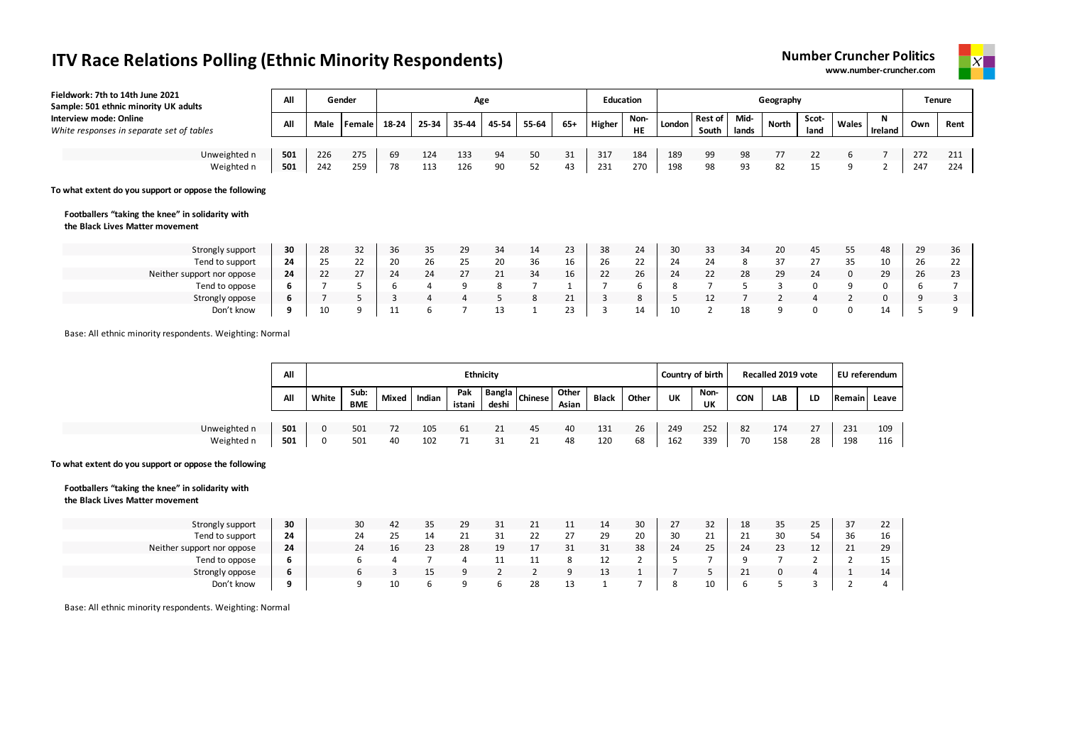



| Fieldwork: 7th to 14th June 2021<br>Sample: 501 ethnic minority UK adults                                                                    | All |      | Gender          |       |       | Age            |       |       |       |                | <b>Education</b>  |        |                         |               | Geography    |               |              |               |     | Tenure |
|----------------------------------------------------------------------------------------------------------------------------------------------|-----|------|-----------------|-------|-------|----------------|-------|-------|-------|----------------|-------------------|--------|-------------------------|---------------|--------------|---------------|--------------|---------------|-----|--------|
| Interview mode: Online<br>White responses in separate set of tables                                                                          | All | Male | <b>I</b> Female | 18-24 | 25-34 | 35-44          | 45-54 | 55-64 | $65+$ | Higher         | Non-<br><b>HE</b> | London | <b>Rest of</b><br>South | Mid-<br>lands | North        | Scot-<br>land | Wales        | -N<br>Ireland | Own | Rent   |
|                                                                                                                                              |     |      |                 |       |       |                |       |       |       |                |                   |        |                         |               |              |               |              |               |     |        |
| Unweighted n                                                                                                                                 | 501 | 226  | 275             | 69    | 124   | 133            | 94    | 50    | 31    | 317            | 184               | 189    | 99                      | 98            | 77           | 22            | 6            |               | 272 | 211    |
| Weighted n                                                                                                                                   | 501 | 242  | 259             | 78    | 113   | 126            | 90    | 52    | 43    | 231            | 270               | 198    | 98                      | 93            | 82           | 15            | 9            | z             | 247 | 224    |
| To what extent do you support or oppose the following<br>Footballers "taking the knee" in solidarity with<br>the Black Lives Matter movement |     |      |                 |       |       |                |       |       |       |                |                   |        |                         |               |              |               |              |               |     |        |
| Strongly support                                                                                                                             | 30  | 28   | 32              | 36    | 35    | 29             | 34    | 14    | 23    | 38             | 24                | 30     | 33                      | 34            | 20           | 45            | 55           | 48            | 29  | 36     |
| Tend to support                                                                                                                              | 24  | 25   | 22              | 20    | 26    | 25             | 20    | 36    | 16    | 26             | 22                | 24     | 24                      | 8             | 37           | 27            | 35           | 10            | 26  | 22     |
| Neither support nor oppose                                                                                                                   | 24  | 22   | 27              | 24    | 24    | 27             | 21    | 34    | 16    | 22             | 26                | 24     | 22                      | 28            | 29           | 24            | $\mathbf{0}$ | 29            | 26  | 23     |
| Tend to oppose                                                                                                                               | 6   |      |                 | 6     | 4     | 9              | 8     |       |       |                | 6                 | 8      |                         |               | 3            | 0             | 9            | 0             | 6   |        |
| Strongly oppose                                                                                                                              | 6   |      |                 | 3     | 4     | 4              | 5     | 8     | 21    | 3              | 8                 |        | 12                      |               | 2            | 4             | 2            | 0             | 9   |        |
| Don't know                                                                                                                                   | 9   | 10   | q               | 11    | 6     | $\overline{7}$ | 13    | 1     | 23    | $\overline{3}$ | 14                | 10     | 2                       | 18            | $\mathsf{q}$ | 0             | 0            | 14            | 5   |        |

Base: All ethnic minority respondents. Weighting: Normal

|              | All |       |                    |       |        |               | <b>Ethnicity</b> |                  |                |              |       | Country of birth |            |            | Recalled 2019 vote |    | EU referendum |       |
|--------------|-----|-------|--------------------|-------|--------|---------------|------------------|------------------|----------------|--------------|-------|------------------|------------|------------|--------------------|----|---------------|-------|
|              | All | White | Sub:<br><b>BME</b> | Mixed | Indian | Pak<br>istani | deshi            | hangla   Chinese | Other<br>Asian | <b>Black</b> | Other | UK               | Non-<br>UK | <b>CON</b> | LAB                | LD | <b>Remain</b> | Leave |
|              |     |       |                    |       |        |               |                  |                  |                |              |       |                  |            |            |                    |    |               |       |
| Unweighted n | 501 | 0     | 501                |       | 105    | 61            | 21               | 45               | 40             | 131          | 26    | 249              | 252        | 82         | 174                | 27 | 231           | 109   |
| Weighted n   | 501 | 0     | 501                | 40    | 102    |               | 31               |                  | 48             | 120          | 68    | 162              | 339        | 70         | 158                | 28 | 198           | 116   |

#### **To what extent do you support or oppose the following**

#### **Footballers "taking the knee" in solidarity with the Black Lives Matter movement**

| Strongly support           | 30           | 30 | 42                  | 35<br>ັບ | 29 | ັ          | 21       | -- | 14      | 30 | $\mathcal{L}$ | 32                 | 18 | 35 | رے | 37      | 22 |
|----------------------------|--------------|----|---------------------|----------|----|------------|----------|----|---------|----|---------------|--------------------|----|----|----|---------|----|
| Tend to support            | 24           | 24 | $\sim$ $\sim$<br>25 | 14       |    |            | ᅩ        | ∼  | 29      | 20 | 30            | 21<br><u>_ _</u>   |    | 30 |    | 36      | 16 |
| Neither support nor oppose | 24           | 24 | 16                  | วว<br>رے | 28 | 19         | <b>*</b> | ັ  | 31      | 38 | 24            | $\mathbf{r}$<br>25 | 24 | 23 | 12 | 21<br>ᅩ | 29 |
| Tend to oppose             | b            |    |                     |          |    | <b>. .</b> |          |    |         |    |               |                    |    |    |    |         | 15 |
| Strongly oppose            | b            |    |                     |          |    |            |          |    | 13<br>ᅩ |    |               |                    |    |    |    |         | 14 |
| Don't know                 | $\mathbf{a}$ | a  | 10                  |          |    |            | 28       | -- |         |    |               | 10                 |    |    |    |         |    |